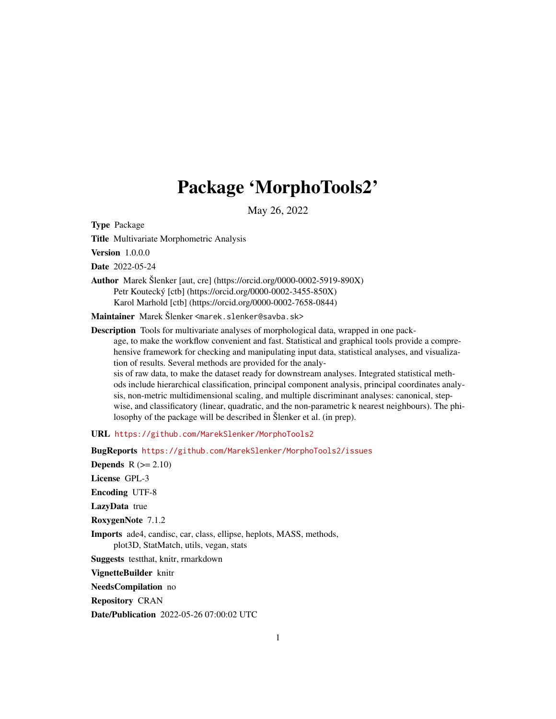# Package 'MorphoTools2'

May 26, 2022

<span id="page-0-0"></span>Type Package

Title Multivariate Morphometric Analysis

Version 1.0.0.0

Date 2022-05-24

Author Marek Šlenker [aut, cre] (https://orcid.org/0000-0002-5919-890X) Petr Koutecký [ctb] (https://orcid.org/0000-0002-3455-850X) Karol Marhold [ctb] (https://orcid.org/0000-0002-7658-0844)

Maintainer Marek Šlenker <marek.slenker@savba.sk>

Description Tools for multivariate analyses of morphological data, wrapped in one package, to make the workflow convenient and fast. Statistical and graphical tools provide a comprehensive framework for checking and manipulating input data, statistical analyses, and visualization of results. Several methods are provided for the analysis of raw data, to make the dataset ready for downstream analyses. Integrated statistical meth-

ods include hierarchical classification, principal component analysis, principal coordinates analysis, non-metric multidimensional scaling, and multiple discriminant analyses: canonical, stepwise, and classificatory (linear, quadratic, and the non-parametric k nearest neighbours). The philosophy of the package will be described in Šlenker et al. (in prep).

URL <https://github.com/MarekSlenker/MorphoTools2>

BugReports <https://github.com/MarekSlenker/MorphoTools2/issues> Depends  $R (= 2.10)$ License GPL-3 Encoding UTF-8 LazyData true RoxygenNote 7.1.2 Imports ade4, candisc, car, class, ellipse, heplots, MASS, methods, plot3D, StatMatch, utils, vegan, stats Suggests testthat, knitr, rmarkdown VignetteBuilder knitr NeedsCompilation no Repository CRAN Date/Publication 2022-05-26 07:00:02 UTC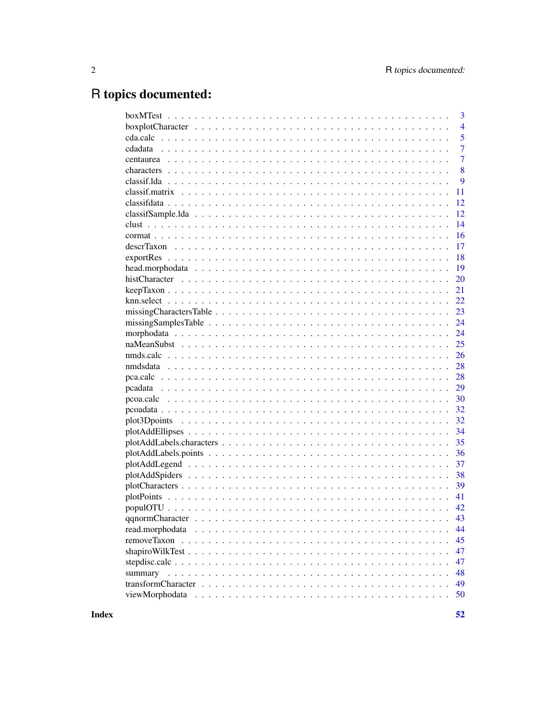# R topics documented:

|         | 3              |
|---------|----------------|
|         | $\overline{4}$ |
|         | 5              |
|         | $\overline{7}$ |
|         | $\overline{7}$ |
|         | 8              |
|         | 9              |
|         | 11             |
|         | 12             |
|         | 12             |
|         | 14             |
|         | 16             |
|         | 17             |
|         | 18             |
|         | 19             |
|         | 20             |
|         | 21             |
|         | 22             |
|         | 23             |
|         | 24             |
|         | 24             |
|         | 25             |
|         | 26             |
|         | 28             |
|         | 28             |
|         | 29             |
|         | 30             |
|         | 32             |
|         | 32             |
|         | 34             |
|         | 35             |
|         | 36             |
|         | 37             |
|         | 38             |
|         | 39             |
|         | 41             |
|         | 42             |
|         |                |
|         | 44             |
|         | 45             |
|         | 47             |
|         | 47             |
| summary | 48             |
|         | 49             |
|         | 50             |
|         |                |

**Index**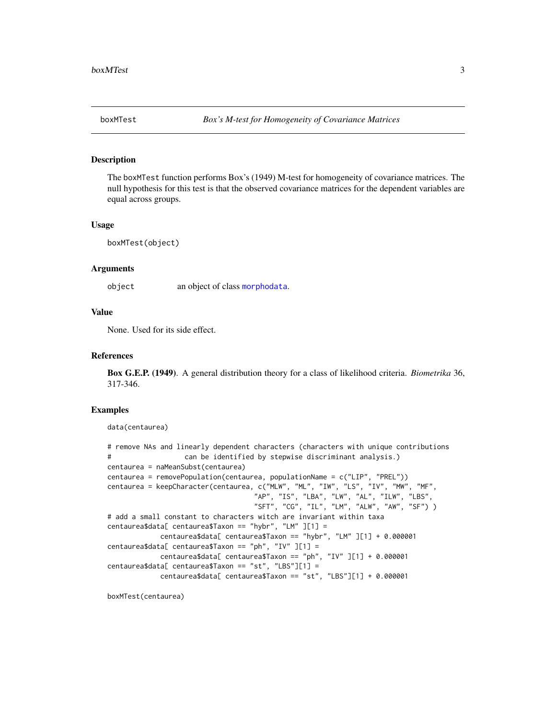<span id="page-2-0"></span>The boxMTest function performs Box's (1949) M-test for homogeneity of covariance matrices. The null hypothesis for this test is that the observed covariance matrices for the dependent variables are equal across groups.

#### Usage

boxMTest(object)

## Arguments

object an object of class [morphodata](#page-23-1).

## Value

None. Used for its side effect.

## References

Box G.E.P. (1949). A general distribution theory for a class of likelihood criteria. *Biometrika* 36, 317-346.

## Examples

```
data(centaurea)
```

```
# remove NAs and linearly dependent characters (characters with unique contributions
# can be identified by stepwise discriminant analysis.)
centaurea = naMeanSubst(centaurea)
centaurea = removePopulation(centaurea, populationName = c("LIP", "PREL"))
centaurea = keepCharacter(centaurea, c("MLW", "ML", "IW", "LS", "IV", "MW", "MF",
                                   "AP", "IS", "LBA", "LW", "AL", "ILW", "LBS",
                                   "SFT", "CG", "IL", "LM", "ALW", "AW", "SF") )
# add a small constant to characters witch are invariant within taxa
centaurea$data[ centaurea$Taxon == "hybr", "LM" ][1] =
            centaurea$data[ centaurea$Taxon == "hybr", "LM" ][1] + 0.000001
centaurea$data[ centaurea$Taxon == "ph", "IV" ][1] =
            centaurea$data[ centaurea$Taxon == "ph", "IV" J[1] + 0.000001centaurea$data[ centaurea$Taxon == "st", "LBS"][1] =
            centaurea$data[ centaurea$Taxon == "st", "LBS"][1] + 0.000001
```
boxMTest(centaurea)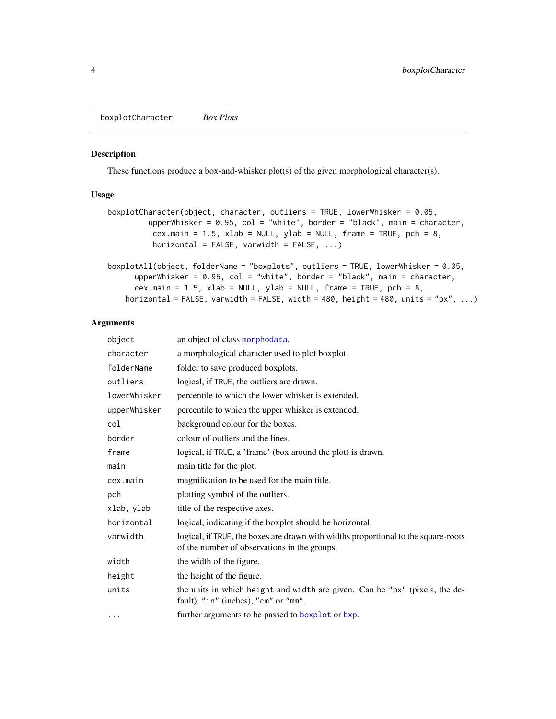<span id="page-3-0"></span>boxplotCharacter *Box Plots*

# Description

These functions produce a box-and-whisker plot(s) of the given morphological character(s).

# Usage

```
boxplotCharacter(object, character, outliers = TRUE, lowerWhisker = 0.05,
         upperWhisker = 0.95, col = "white", border = "black", main = character,
          cex.main = 1.5, xlab = NULL, ylab = NULL, frame = TRUE, pch = 8,
          horizontal = FALSE, varwidth = FALSE, ...)
boxplotAll(object, folderName = "boxplots", outliers = TRUE, lowerWhisker = 0.05,
```

```
upperWhisker = 0.95, col = "white", border = "black", main = character,
  cex.main = 1.5, xlab = NULL, ylab = NULL, frame = TRUE, pch = 8,
horizontal = FALSE, varwidth = FALSE, width = 480, height = 480, units = "px", ...)
```

| object       | an object of class morphodata.                                                                                                     |
|--------------|------------------------------------------------------------------------------------------------------------------------------------|
| character    | a morphological character used to plot boxplot.                                                                                    |
| folderName   | folder to save produced boxplots.                                                                                                  |
| outliers     | logical, if TRUE, the outliers are drawn.                                                                                          |
| lowerWhisker | percentile to which the lower whisker is extended.                                                                                 |
| upperWhisker | percentile to which the upper whisker is extended.                                                                                 |
| col          | background colour for the boxes.                                                                                                   |
| border       | colour of outliers and the lines.                                                                                                  |
| frame        | logical, if TRUE, a 'frame' (box around the plot) is drawn.                                                                        |
| main         | main title for the plot.                                                                                                           |
| cex.main     | magnification to be used for the main title.                                                                                       |
| pch          | plotting symbol of the outliers.                                                                                                   |
| xlab, ylab   | title of the respective axes.                                                                                                      |
| horizontal   | logical, indicating if the boxplot should be horizontal.                                                                           |
| varwidth     | logical, if TRUE, the boxes are drawn with widths proportional to the square-roots<br>of the number of observations in the groups. |
| width        | the width of the figure.                                                                                                           |
| height       | the height of the figure.                                                                                                          |
| units        | the units in which height and width are given. Can be "px" (pixels, the de-<br>fault), "in" (inches), "cm" or "mm".                |
| $\cdots$     | further arguments to be passed to boxplot or bxp.                                                                                  |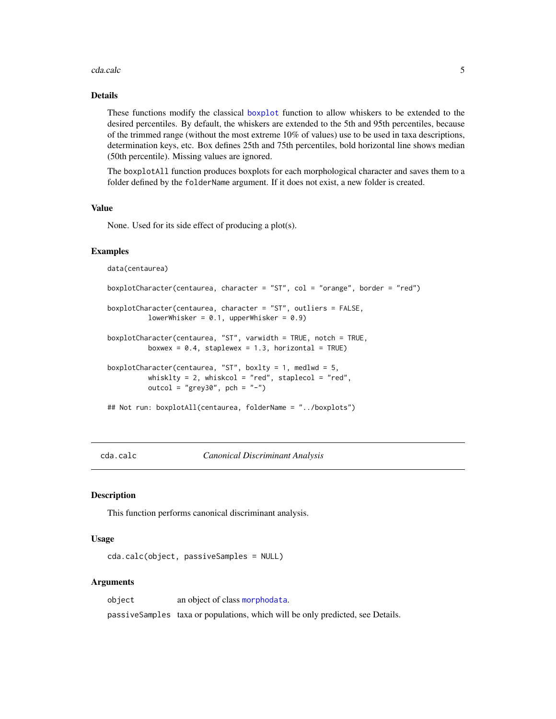#### <span id="page-4-0"></span>cda.calc 5

# Details

These functions modify the classical [boxplot](#page-0-0) function to allow whiskers to be extended to the desired percentiles. By default, the whiskers are extended to the 5th and 95th percentiles, because of the trimmed range (without the most extreme 10% of values) use to be used in taxa descriptions, determination keys, etc. Box defines 25th and 75th percentiles, bold horizontal line shows median (50th percentile). Missing values are ignored.

The boxplotAll function produces boxplots for each morphological character and saves them to a folder defined by the folderName argument. If it does not exist, a new folder is created.

#### Value

None. Used for its side effect of producing a plot(s).

#### Examples

data(centaurea)

```
boxplotCharacter(centaurea, character = "ST", col = "orange", border = "red")
boxplotCharacter(centaurea, character = "ST", outliers = FALSE,
          lowerWhisker = 0.1, upperWhisker = 0.9)
boxplotCharacter(centaurea, "ST", varwidth = TRUE, notch = TRUE,
          boxwex = 0.4, staplewex = 1.3, horizontal = TRUE)
boxplotCharacter(centaurea, "ST", boxlty = 1, medlwd = 5,
          whisklty = 2, whiskcol = "red", staplecol = "red",
         outcol = "grey30", pch = "-")
## Not run: boxplotAll(centaurea, folderName = "../boxplots")
```
<span id="page-4-1"></span>cda.calc *Canonical Discriminant Analysis*

#### **Description**

This function performs canonical discriminant analysis.

#### Usage

cda.calc(object, passiveSamples = NULL)

#### Arguments

object an object of class [morphodata](#page-23-1). passiveSamples taxa or populations, which will be only predicted, see Details.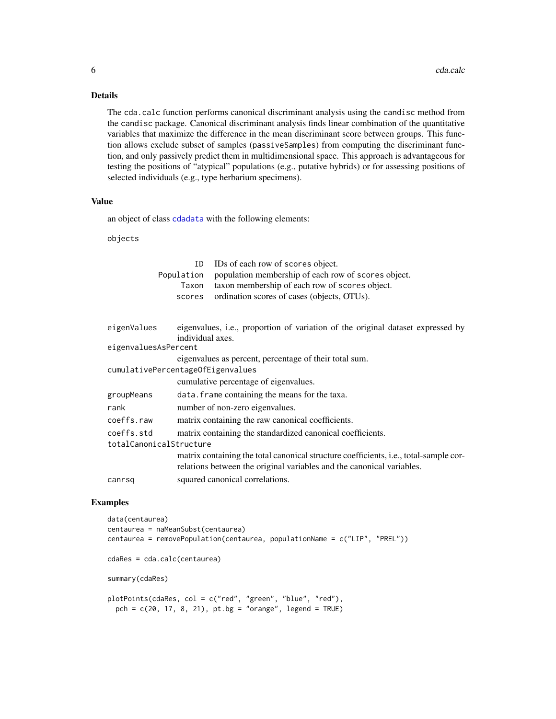# Details

The cda.calc function performs canonical discriminant analysis using the candisc method from the candisc package. Canonical discriminant analysis finds linear combination of the quantitative variables that maximize the difference in the mean discriminant score between groups. This function allows exclude subset of samples (passiveSamples) from computing the discriminant function, and only passively predict them in multidimensional space. This approach is advantageous for testing the positions of "atypical" populations (e.g., putative hybrids) or for assessing positions of selected individuals (e.g., type herbarium specimens).

#### Value

an object of class [cdadata](#page-6-1) with the following elements:

objects

|                                   | ID<br>Population<br>Taxon<br>scores | IDs of each row of scores object.<br>population membership of each row of scores object.<br>taxon membership of each row of scores object.<br>ordination scores of cases (objects, OTUs). |
|-----------------------------------|-------------------------------------|-------------------------------------------------------------------------------------------------------------------------------------------------------------------------------------------|
| eigenValues                       | individual axes.                    | eigenvalues, i.e., proportion of variation of the original dataset expressed by                                                                                                           |
| eigenvaluesAsPercent              |                                     |                                                                                                                                                                                           |
|                                   |                                     | eigenvalues as percent, percentage of their total sum.                                                                                                                                    |
| cumulativePercentageOfEigenvalues |                                     |                                                                                                                                                                                           |
|                                   |                                     | cumulative percentage of eigenvalues.                                                                                                                                                     |
| groupMeans                        |                                     | data. frame containing the means for the taxa.                                                                                                                                            |
| rank                              |                                     | number of non-zero eigenvalues.                                                                                                                                                           |
| coeffs.raw                        |                                     | matrix containing the raw canonical coefficients.                                                                                                                                         |
| coeffs.std                        |                                     | matrix containing the standardized canonical coefficients.                                                                                                                                |
| totalCanonicalStructure           |                                     |                                                                                                                                                                                           |
|                                   |                                     | matrix containing the total canonical structure coefficients, <i>i.e.</i> , total-sample cor-<br>relations between the original variables and the canonical variables.                    |
| canrsq                            |                                     | squared canonical correlations.                                                                                                                                                           |

#### Examples

data(centaurea) centaurea = naMeanSubst(centaurea) centaurea = removePopulation(centaurea, populationName = c("LIP", "PREL")) cdaRes = cda.calc(centaurea) summary(cdaRes) plotPoints(cdaRes, col = c("red", "green", "blue", "red"), pch = c(20, 17, 8, 21), pt.bg = "orange", legend = TRUE)

<span id="page-5-0"></span>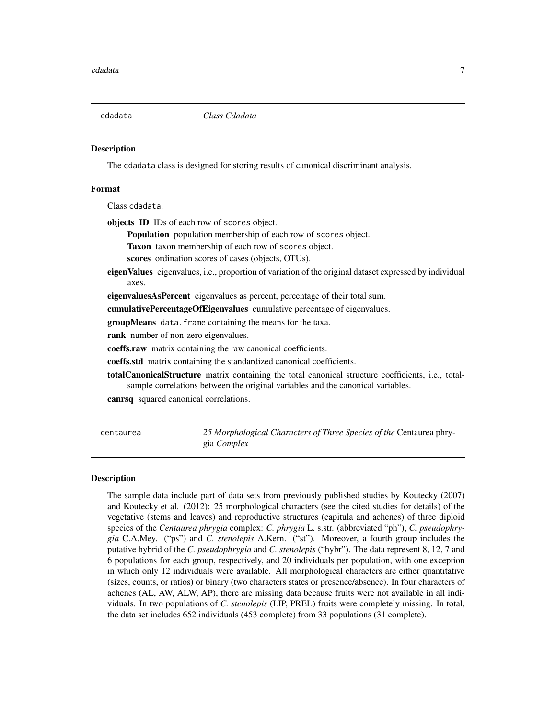<span id="page-6-1"></span><span id="page-6-0"></span>

The cdadata class is designed for storing results of canonical discriminant analysis.

#### Format

Class cdadata.

objects ID IDs of each row of scores object.

Population population membership of each row of scores object.

Taxon taxon membership of each row of scores object.

scores ordination scores of cases (objects, OTUs).

eigen Values eigenvalues, i.e., proportion of variation of the original dataset expressed by individual axes.

eigenvaluesAsPercent eigenvalues as percent, percentage of their total sum.

cumulativePercentageOfEigenvalues cumulative percentage of eigenvalues.

groupMeans data.frame containing the means for the taxa.

rank number of non-zero eigenvalues.

coeffs.raw matrix containing the raw canonical coefficients.

coeffs.std matrix containing the standardized canonical coefficients.

totalCanonicalStructure matrix containing the total canonical structure coefficients, i.e., totalsample correlations between the original variables and the canonical variables.

canrsq squared canonical correlations.

centaurea *25 Morphological Characters of Three Species of the* Centaurea phrygia *Complex*

#### Description

The sample data include part of data sets from previously published studies by Koutecky (2007) and Koutecky et al. (2012): 25 morphological characters (see the cited studies for details) of the vegetative (stems and leaves) and reproductive structures (capitula and achenes) of three diploid species of the *Centaurea phrygia* complex: *C. phrygia* L. s.str. (abbreviated "ph"), *C. pseudophrygia* C.A.Mey. ("ps") and *C. stenolepis* A.Kern. ("st"). Moreover, a fourth group includes the putative hybrid of the *C. pseudophrygia* and *C. stenolepis* ("hybr"). The data represent 8, 12, 7 and 6 populations for each group, respectively, and 20 individuals per population, with one exception in which only 12 individuals were available. All morphological characters are either quantitative (sizes, counts, or ratios) or binary (two characters states or presence/absence). In four characters of achenes (AL, AW, ALW, AP), there are missing data because fruits were not available in all individuals. In two populations of *C. stenolepis* (LIP, PREL) fruits were completely missing. In total, the data set includes 652 individuals (453 complete) from 33 populations (31 complete).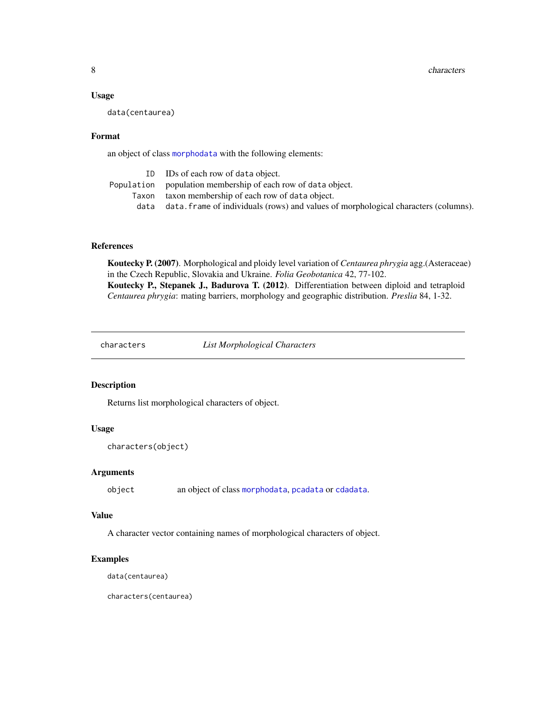#### <span id="page-7-0"></span>Usage

data(centaurea)

#### Format

an object of class [morphodata](#page-23-1) with the following elements:

|       | ID IDs of each row of data object.                                                  |
|-------|-------------------------------------------------------------------------------------|
|       | Population population membership of each row of data object.                        |
| Taxon | taxon membership of each row of data object.                                        |
| data  | data. frame of individuals (rows) and values of morphological characters (columns). |

# References

Koutecky P. (2007). Morphological and ploidy level variation of *Centaurea phrygia* agg.(Asteraceae) in the Czech Republic, Slovakia and Ukraine. *Folia Geobotanica* 42, 77-102. Koutecky P., Stepanek J., Badurova T. (2012). Differentiation between diploid and tetraploid *Centaurea phrygia*: mating barriers, morphology and geographic distribution. *Preslia* 84, 1-32.

<span id="page-7-1"></span>characters *List Morphological Characters*

# Description

Returns list morphological characters of object.

# Usage

```
characters(object)
```
## Arguments

object an object of class [morphodata](#page-23-1), [pcadata](#page-28-1) or [cdadata](#page-6-1).

## Value

A character vector containing names of morphological characters of object.

# Examples

data(centaurea)

characters(centaurea)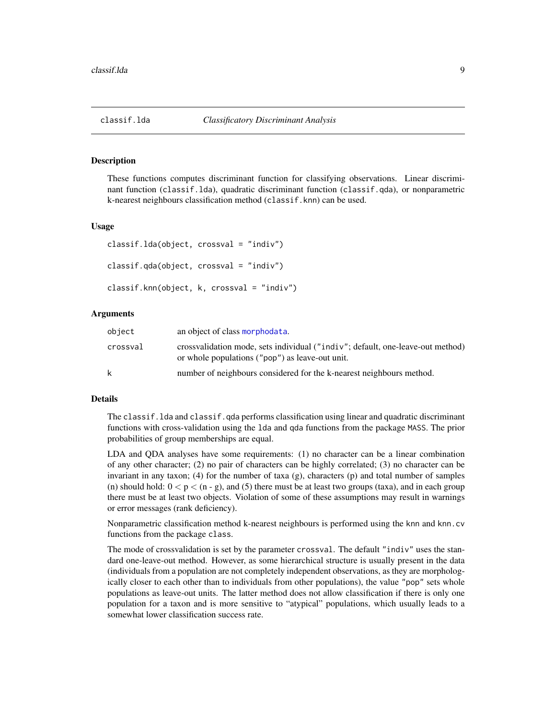<span id="page-8-2"></span><span id="page-8-1"></span><span id="page-8-0"></span>

These functions computes discriminant function for classifying observations. Linear discriminant function (classif.lda), quadratic discriminant function (classif.qda), or nonparametric k-nearest neighbours classification method (classif.knn) can be used.

#### Usage

```
classif.lda(object, crossval = "indiv")
classif.qda(object, crossval = "indiv")
classif.knn(object, k, crossval = "indiv")
```
## Arguments

| object   | an object of class morphodata.                                                                                                    |
|----------|-----------------------------------------------------------------------------------------------------------------------------------|
| crossval | crossvalidation mode, sets individual ("indiv"; default, one-leave-out method)<br>or whole populations ("pop") as leave-out unit. |
| k        | number of neighbours considered for the k-nearest neighbours method.                                                              |

#### Details

The classif. 1da and classif. qda performs classification using linear and quadratic discriminant functions with cross-validation using the lda and qda functions from the package MASS. The prior probabilities of group memberships are equal.

LDA and QDA analyses have some requirements: (1) no character can be a linear combination of any other character; (2) no pair of characters can be highly correlated; (3) no character can be invariant in any taxon; (4) for the number of taxa (g), characters (p) and total number of samples (n) should hold:  $0 < p < (n - g)$ , and (5) there must be at least two groups (taxa), and in each group there must be at least two objects. Violation of some of these assumptions may result in warnings or error messages (rank deficiency).

Nonparametric classification method k-nearest neighbours is performed using the knn and knn.cv functions from the package class.

The mode of crossvalidation is set by the parameter crossval. The default "indiv" uses the standard one-leave-out method. However, as some hierarchical structure is usually present in the data (individuals from a population are not completely independent observations, as they are morphologically closer to each other than to individuals from other populations), the value "pop" sets whole populations as leave-out units. The latter method does not allow classification if there is only one population for a taxon and is more sensitive to "atypical" populations, which usually leads to a somewhat lower classification success rate.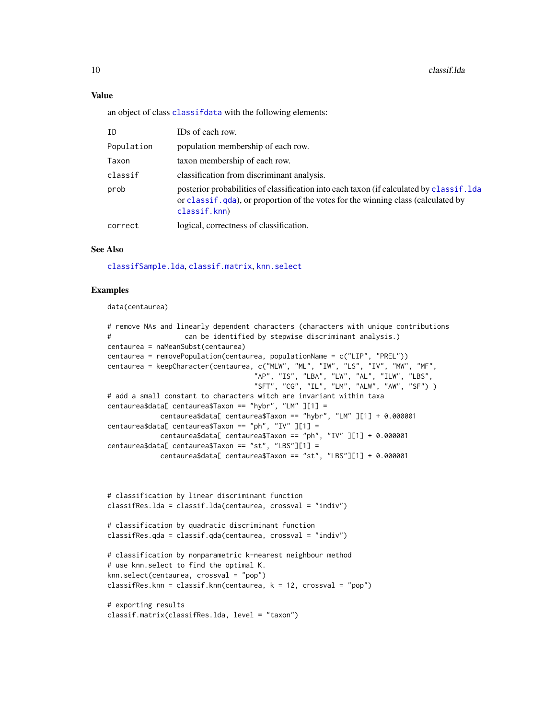#### Value

an object of class [classifdata](#page-11-1) with the following elements:

| ID         | IDs of each row.                                                                                                                                                                                 |
|------------|--------------------------------------------------------------------------------------------------------------------------------------------------------------------------------------------------|
| Population | population membership of each row.                                                                                                                                                               |
| Taxon      | taxon membership of each row.                                                                                                                                                                    |
| classif    | classification from discriminant analysis.                                                                                                                                                       |
| prob       | posterior probabilities of classification into each taxon (if calculated by classif. 1 da<br>or class if . qda), or proportion of the votes for the winning class (calculated by<br>classif.knn) |
| correct    | logical, correctness of classification.                                                                                                                                                          |

#### See Also

[classifSample.lda](#page-11-2), [classif.matrix](#page-10-1), [knn.select](#page-21-1)

## Examples

data(centaurea)

```
# remove NAs and linearly dependent characters (characters with unique contributions
# can be identified by stepwise discriminant analysis.)
centaurea = naMeanSubst(centaurea)
centaurea = removePopulation(centaurea, populationName = c("LIP", "PREL"))
centaurea = keepCharacter(centaurea, c("MLW", "ML", "IW", "LS", "IV", "MW", "MF",
                                   "AP", "IS", "LBA", "LW", "AL", "ILW", "LBS",
                                   "SFT", "CG", "IL", "LM", "ALW", "AW", "SF") )
# add a small constant to characters witch are invariant within taxa
centaurea$data[ centaurea$Taxon == "hybr", "LM" ][1] =
            centaurea$data[ centaurea$Taxon == "hybr", "LM" ][1] + 0.000001
centaurea$data[ centaurea$Taxon == "ph", "IV" ][1] =
            centaurea$data[ centaurea$Taxon == "ph", "IV" ][1] + 0.000001
centaurea$data[ centaurea$Taxon == "st", "LBS"][1] =
            centaurea$data[ centaurea$Taxon == "st", "LBS"][1] + 0.000001
```

```
# classification by linear discriminant function
classifRes.lda = classif.lda(centaurea, crossval = "indiv")
# classification by quadratic discriminant function
classifRes.qda = classif.qda(centaurea, crossval = "indiv")
# classification by nonparametric k-nearest neighbour method
# use knn.select to find the optimal K.
knn.select(centaurea, crossval = "pop")
classifRes.knn = classif.knn(centaurea, k = 12, crossval = "pop")
# exporting results
classif.matrix(classifRes.lda, level = "taxon")
```
<span id="page-9-0"></span>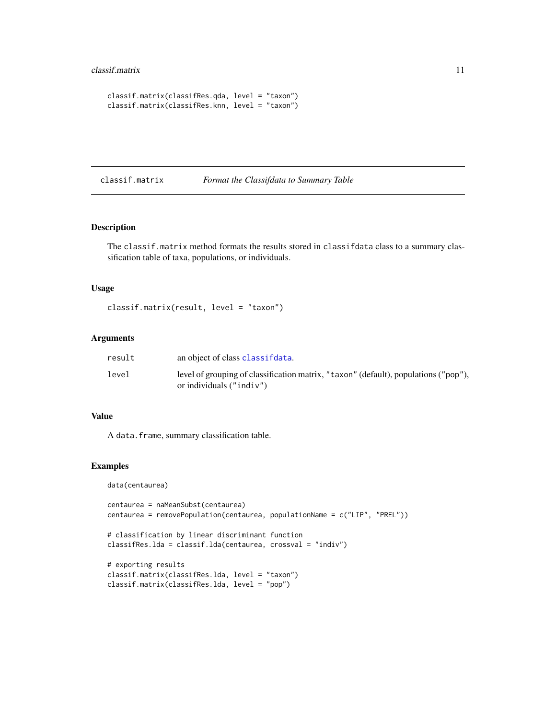#### <span id="page-10-0"></span>classif.matrix 11

```
classif.matrix(classifRes.qda, level = "taxon")
classif.matrix(classifRes.knn, level = "taxon")
```
# <span id="page-10-1"></span>classif.matrix *Format the Classifdata to Summary Table*

## Description

The classif.matrix method formats the results stored in classifdata class to a summary classification table of taxa, populations, or individuals.

### Usage

```
classif.matrix(result, level = "taxon")
```
#### Arguments

| result | an object of class classifidata.                                                                                  |
|--------|-------------------------------------------------------------------------------------------------------------------|
| level  | level of grouping of classification matrix, "taxon" (default), populations ("pop"),<br>or individuals $("indiv")$ |

## Value

A data.frame, summary classification table.

## Examples

data(centaurea)

```
centaurea = naMeanSubst(centaurea)
centaurea = removePopulation(centaurea, populationName = c("LIP", "PREL"))
# classification by linear discriminant function
classifRes.lda = classif.lda(centaurea, crossval = "indiv")
# exporting results
classif.matrix(classifRes.lda, level = "taxon")
classif.matrix(classifRes.lda, level = "pop")
```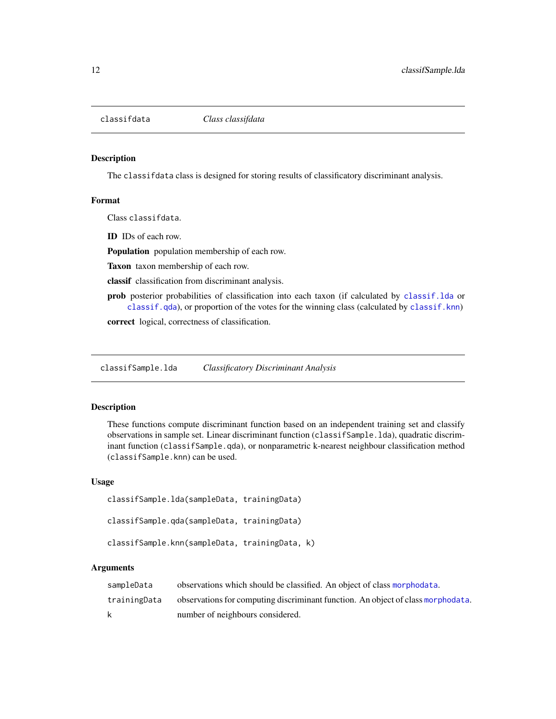<span id="page-11-1"></span><span id="page-11-0"></span>

The classifdata class is designed for storing results of classificatory discriminant analysis.

## Format

Class classifdata.

ID IDs of each row.

Population population membership of each row.

Taxon taxon membership of each row.

classif classification from discriminant analysis.

prob posterior probabilities of classification into each taxon (if calculated by [classif.lda](#page-8-1) or [classif.qda](#page-8-2)), or proportion of the votes for the winning class (calculated by [classif.knn](#page-8-2))

correct logical, correctness of classification.

<span id="page-11-2"></span>classifSample.lda *Classificatory Discriminant Analysis*

## <span id="page-11-3"></span>Description

These functions compute discriminant function based on an independent training set and classify observations in sample set. Linear discriminant function (classifSample.lda), quadratic discriminant function (classifSample.qda), or nonparametric k-nearest neighbour classification method (classifSample.knn) can be used.

#### Usage

```
classifSample.lda(sampleData, trainingData)
```

```
classifSample.qda(sampleData, trainingData)
```
classifSample.knn(sampleData, trainingData, k)

| sampleData   | observations which should be classified. An object of class morphodata.          |
|--------------|----------------------------------------------------------------------------------|
| trainingData | observations for computing discriminant function. An object of class morphodata. |
| k            | number of neighbours considered.                                                 |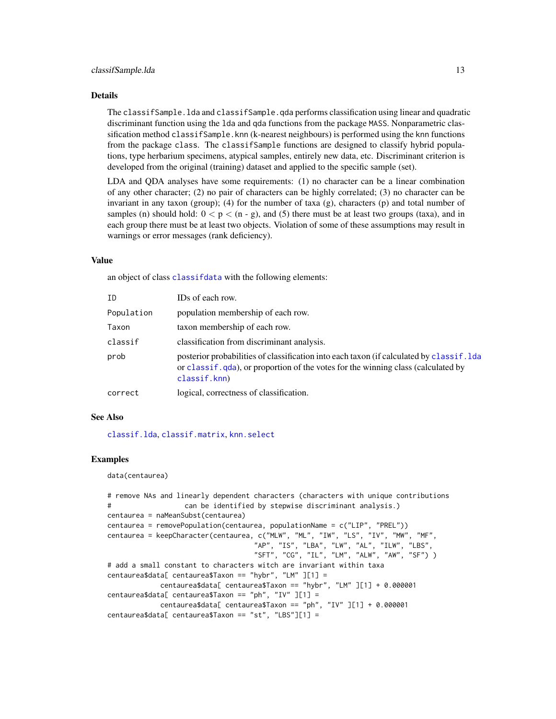#### <span id="page-12-0"></span>Details

The classifSample.lda and classifSample.qda performs classification using linear and quadratic discriminant function using the lda and qda functions from the package MASS. Nonparametric classification method classifSample.knn (k-nearest neighbours) is performed using the knn functions from the package class. The classifSample functions are designed to classify hybrid populations, type herbarium specimens, atypical samples, entirely new data, etc. Discriminant criterion is developed from the original (training) dataset and applied to the specific sample (set).

LDA and QDA analyses have some requirements: (1) no character can be a linear combination of any other character; (2) no pair of characters can be highly correlated; (3) no character can be invariant in any taxon (group); (4) for the number of taxa (g), characters (p) and total number of samples (n) should hold:  $0 < p < (n - g)$ , and (5) there must be at least two groups (taxa), and in each group there must be at least two objects. Violation of some of these assumptions may result in warnings or error messages (rank deficiency).

### Value

an object of class [classifdata](#page-11-1) with the following elements:

| TD         | IDs of each row.                                                                                                                                                                                  |
|------------|---------------------------------------------------------------------------------------------------------------------------------------------------------------------------------------------------|
| Population | population membership of each row.                                                                                                                                                                |
| Taxon      | taxon membership of each row.                                                                                                                                                                     |
| classif    | classification from discriminant analysis.                                                                                                                                                        |
| prob       | posterior probabilities of classification into each taxon (if calculated by classif. 1 day<br>or class if . qda), or proportion of the votes for the winning class (calculated by<br>classif.knn) |
| correct    | logical, correctness of classification.                                                                                                                                                           |

#### See Also

[classif.lda](#page-8-1), [classif.matrix](#page-10-1), [knn.select](#page-21-1)

## Examples

data(centaurea)

```
# remove NAs and linearly dependent characters (characters with unique contributions
# can be identified by stepwise discriminant analysis.)
centaurea = naMeanSubst(centaurea)
centaurea = removePopulation(centaurea, populationName = c("LIP", "PREL"))
centaurea = keepCharacter(centaurea, c("MLW", "ML", "IW", "LS", "IV", "MW", "MF",
                                   "AP", "IS", "LBA", "LW", "AL", "ILW", "LBS",
                                   "SFT", "CG", "IL", "LM", "ALW", "AW", "SF") )
# add a small constant to characters witch are invariant within taxa
centaurea$data[ centaurea$Taxon == "hybr", "LM" ][1] =
            centaurea$data[ centaurea$Taxon == "hybr", "LM" ][1] + 0.000001
centaurea$data[ centaurea$Taxon == "ph", "IV" ][1] =
            centaurea$data[ centaurea$Taxon == "ph", "IV" ][1] + 0.000001
centaurea$data[ centaurea$Taxon == "st", "LBS"][1] =
```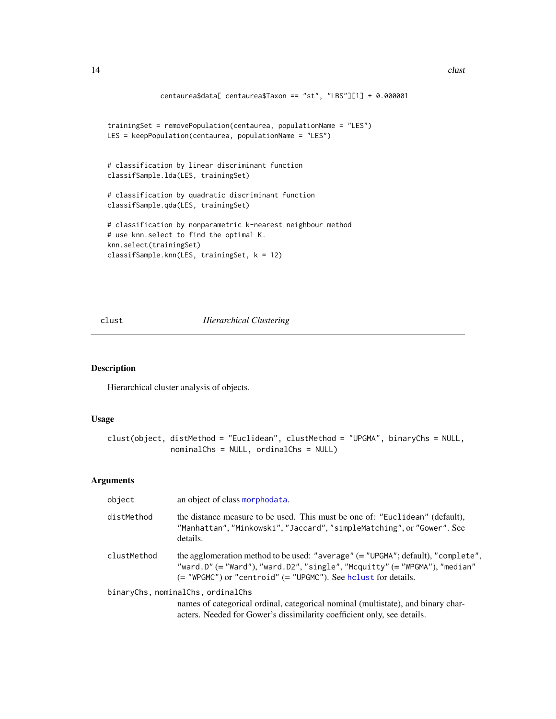```
centaurea$data[ centaurea$Taxon == "st", "LBS"][1] + 0.000001
trainingSet = removePopulation(centaurea, populationName = "LES")
LES = keepPopulation(centaurea, populationName = "LES")
# classification by linear discriminant function
classifSample.lda(LES, trainingSet)
# classification by quadratic discriminant function
classifSample.qda(LES, trainingSet)
# classification by nonparametric k-nearest neighbour method
# use knn.select to find the optimal K.
knn.select(trainingSet)
classifSample.knn(LES, trainingSet, k = 12)
```
## clust *Hierarchical Clustering*

# Description

Hierarchical cluster analysis of objects.

# Usage

```
clust(object, distMethod = "Euclidean", clustMethod = "UPGMA", binaryChs = NULL,
              nominalChs = NULL, ordinalChs = NULL)
```

| object      | an object of class morphodata.                                                                                                                                                                                                           |
|-------------|------------------------------------------------------------------------------------------------------------------------------------------------------------------------------------------------------------------------------------------|
| distMethod  | the distance measure to be used. This must be one of: "Euclidean" (default),<br>"Manhattan", "Minkowski", "Jaccard", "simpleMatching", or "Gower". See<br>details.                                                                       |
| clustMethod | the agglomeration method to be used: "average" $(=$ "UPGMA"; default), "complete",<br>"ward.D" (= "Ward"), "ward.D2", "single", "Mcquitty" (= "WPGMA"), "median"<br>$($ = "WPGMC") or "centroid" $($ = "UPGMC"). See holyst for details. |
|             | binaryChs, nominalChs, ordinalChs                                                                                                                                                                                                        |
|             | names of categorical ordinal, categorical nominal (multistate), and binary char-<br>acters. Needed for Gower's dissimilarity coefficient only, see details.                                                                              |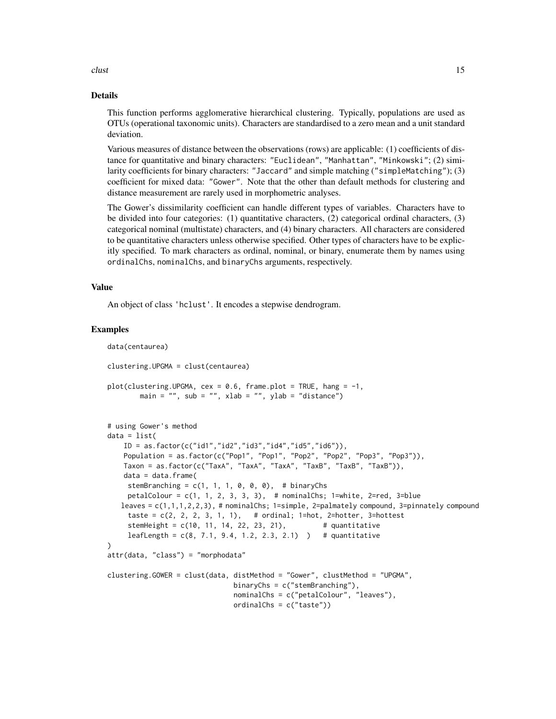clust the contract of the contract of the contract of the contract of the contract of the contract of the contract of the contract of the contract of the contract of the contract of the contract of the contract of the cont

#### Details

This function performs agglomerative hierarchical clustering. Typically, populations are used as OTUs (operational taxonomic units). Characters are standardised to a zero mean and a unit standard deviation.

Various measures of distance between the observations (rows) are applicable: (1) coefficients of distance for quantitative and binary characters: "Euclidean", "Manhattan", "Minkowski"; (2) similarity coefficients for binary characters: "Jaccard" and simple matching ("simpleMatching"); (3) coefficient for mixed data: "Gower". Note that the other than default methods for clustering and distance measurement are rarely used in morphometric analyses.

The Gower's dissimilarity coefficient can handle different types of variables. Characters have to be divided into four categories: (1) quantitative characters, (2) categorical ordinal characters, (3) categorical nominal (multistate) characters, and (4) binary characters. All characters are considered to be quantitative characters unless otherwise specified. Other types of characters have to be explicitly specified. To mark characters as ordinal, nominal, or binary, enumerate them by names using ordinalChs, nominalChs, and binaryChs arguments, respectively.

#### Value

An object of class 'hclust'. It encodes a stepwise dendrogram.

```
data(centaurea)
clustering.UPGMA = clust(centaurea)
plot(clustering.UPGMA, cex = 0.6, frame.plot = TRUE, hang = -1,main = "", sub = "", xlab = "", ylab = "distance")
# using Gower's method
data = list(
    ID = as.factor(c("id1","id2","id3","id4","id5","id6")),
   Population = as.factor(c("Pop1", "Pop1", "Pop2", "Pop2", "Pop3", "Pop3")),
    Taxon = as.factor(c("TaxA", "TaxA", "TaxA", "TaxB", "TaxB", "TaxB")),
   data = data.frame(stemBranching = c(1, 1, 1, 0, 0, 0), # binaryChs
    petalColour = c(1, 1, 2, 3, 3, 3), # nominalChs; 1=white, 2=red, 3=blue
   leaves = c(1,1,1,2,2,3), # nominalChs; 1=simple, 2=palmately compound, 3=pinnately compound
     taste = c(2, 2, 2, 3, 1, 1), # ordinal; 1=hot, 2=hotter, 3=hottest
     stemHeight = c(10, 11, 14, 22, 23, 21), # quantitative
     leafLength = c(8, 7.1, 9.4, 1.2, 2.3, 2.1) # quantitative
)
attr(data, "class") = "morphodata"
clustering.GOWER = clust(data, distMethod = "Gower", clustMethod = "UPGMA",
                              binaryChs = c("stemBranching"),
                               nominalChs = c("petalColour", "leaves"),
                              ordinalChs = c("taste"))
```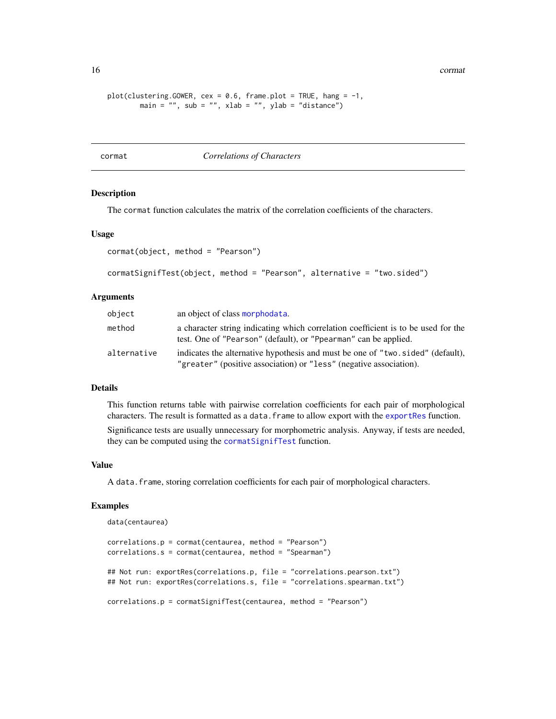<span id="page-15-0"></span>16 cormat and the cormat of the cormat cormat cormat cormat cormat cormat cormat cormat cormat cormat cormat cormat cormat cormat cormat correct of the corporation of the corporation of the corporation of the corporation o

```
plot(clustering.GOWER, cex = 0.6, frame.plot = TRUE, hang = -1,main = "", sub = "", xlab = "", ylab = "distance")
```
#### cormat *Correlations of Characters*

#### <span id="page-15-1"></span>Description

The cormat function calculates the matrix of the correlation coefficients of the characters.

#### Usage

```
cormat(object, method = "Pearson")
```

```
cormatSignifTest(object, method = "Pearson", alternative = "two.sided")
```
#### **Arguments**

| object      | an object of class morphodata.                                                                                                                       |
|-------------|------------------------------------------------------------------------------------------------------------------------------------------------------|
| method      | a character string indicating which correlation coefficient is to be used for the<br>test. One of "Pearson" (default), or "Ppearman" can be applied. |
| alternative | indicates the alternative hypothesis and must be one of "two.sided" (default),<br>"greater" (positive association) or "less" (negative association). |

#### Details

This function returns table with pairwise correlation coefficients for each pair of morphological characters. The result is formatted as a data. frame to allow export with the [exportRes](#page-17-1) function.

Significance tests are usually unnecessary for morphometric analysis. Anyway, if tests are needed, they can be computed using the [cormatSignifTest](#page-15-1) function.

#### Value

A data.frame, storing correlation coefficients for each pair of morphological characters.

```
data(centaurea)
correlations.p = cormat(centaurea, method = "Pearson")
correlations.s = cormat(centaurea, method = "Spearman")
## Not run: exportRes(correlations.p, file = "correlations.pearson.txt")
## Not run: exportRes(correlations.s, file = "correlations.spearman.txt")
correlations.p = cormatSignifTest(centaurea, method = "Pearson")
```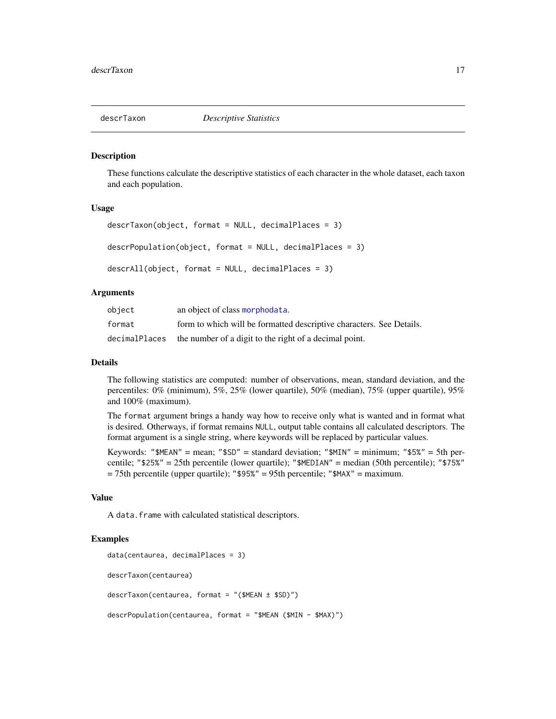<span id="page-16-0"></span>

These functions calculate the descriptive statistics of each character in the whole dataset, each taxon and each population.

#### Usage

```
descrTaxon(object, format = NULL, decimalPlaces = 3)
descrPopulation(object, format = NULL, decimalPlaces = 3)
descrAll(object, format = NULL, decimalPlaces = 3)
```
## Arguments

| object | an object of class morphodata.                                       |
|--------|----------------------------------------------------------------------|
| format | form to which will be formatted descriptive characters. See Details. |
|        | decimalPlaces the number of a digit to the right of a decimal point. |

#### Details

The following statistics are computed: number of observations, mean, standard deviation, and the percentiles: 0% (minimum), 5%, 25% (lower quartile), 50% (median), 75% (upper quartile), 95% and 100% (maximum).

The format argument brings a handy way how to receive only what is wanted and in format what is desired. Otherways, if format remains NULL, output table contains all calculated descriptors. The format argument is a single string, where keywords will be replaced by particular values.

Keywords: " $MEN'' = \text{mean}$ ; " $SSD'' = \text{standard deviation}$ ; " $MIN'' = \text{minimum}$ ; " $SSS'' = 5\text{th per}$ centile; "\$25%" = 25th percentile (lower quartile); "\$MEDIAN" = median (50th percentile); "\$75%" = 75th percentile (upper quartile); "\$95%" = 95th percentile; "\$MAX" = maximum.

## Value

A data.frame with calculated statistical descriptors.

```
data(centaurea, decimalPlaces = 3)
descrTaxon(centaurea)
descrTaxon(centaurea, format = "($MEAN ± $SD)")
descrPopulation(centaurea, format = "$MEAN ($MIN - $MAX)")
```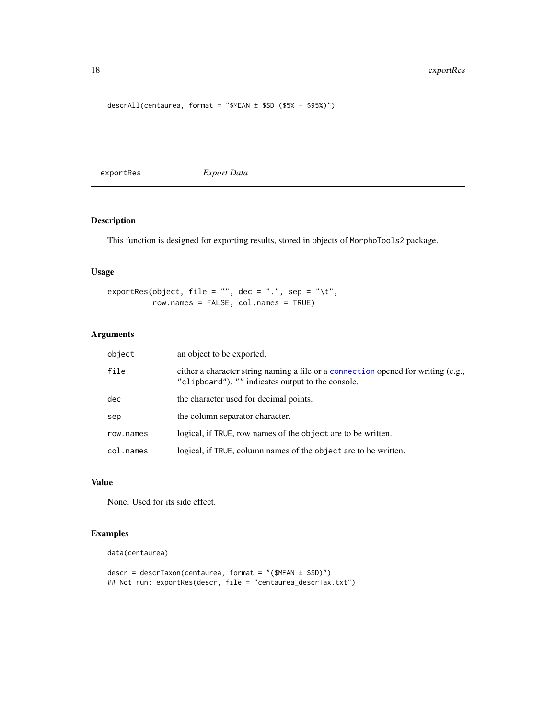# <span id="page-17-0"></span>18 exportRes

descrAll(centaurea, format = "\$MEAN ± \$SD (\$5% - \$95%)")

<span id="page-17-1"></span>exportRes *Export Data*

# Description

This function is designed for exporting results, stored in objects of MorphoTools2 package.

# Usage

```
exportRes(object, file = "", dec = ".", sep = "\t",
          row.names = FALSE, col.names = TRUE)
```
# Arguments

| object    | an object to be exported.                                                                                                              |
|-----------|----------------------------------------------------------------------------------------------------------------------------------------|
| file      | either a character string naming a file or a connection opened for writing (e.g.,<br>"clipboard"). "" indicates output to the console. |
| dec.      | the character used for decimal points.                                                                                                 |
| sep       | the column separator character.                                                                                                        |
| row.names | logical, if TRUE, row names of the object are to be written.                                                                           |
| col.names | logical, if TRUE, column names of the object are to be written.                                                                        |

# Value

None. Used for its side effect.

```
data(centaurea)
```

```
descr = descrTaxon(centaurea, format = "($MEAN ± $SD)")
## Not run: exportRes(descr, file = "centaurea_descrTax.txt")
```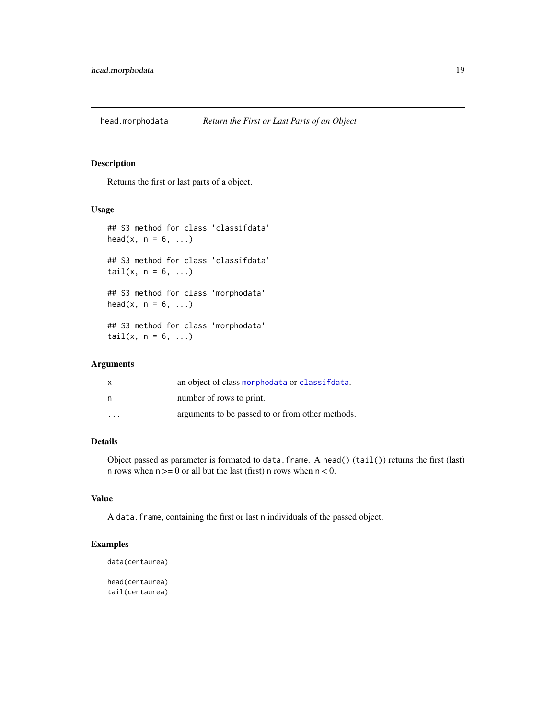<span id="page-18-0"></span>

Returns the first or last parts of a object.

## Usage

```
## S3 method for class 'classifdata'
head(x, n = 6, \ldots)## S3 method for class 'classifdata'
tail(x, n = 6, ...)## S3 method for class 'morphodata'
head(x, n = 6, ...)
## S3 method for class 'morphodata'
tail(x, n = 6, ...)
```
# Arguments

| X                    | an object of class morphodata or classifidata.   |
|----------------------|--------------------------------------------------|
| n                    | number of rows to print.                         |
| $\ddot{\phantom{0}}$ | arguments to be passed to or from other methods. |

# Details

Object passed as parameter is formated to data.frame. A head()  $(tail()$  returns the first (last) n rows when  $n \geq 0$  or all but the last (first) n rows when  $n < 0$ .

## Value

A data.frame, containing the first or last n individuals of the passed object.

# Examples

```
data(centaurea)
```
head(centaurea) tail(centaurea)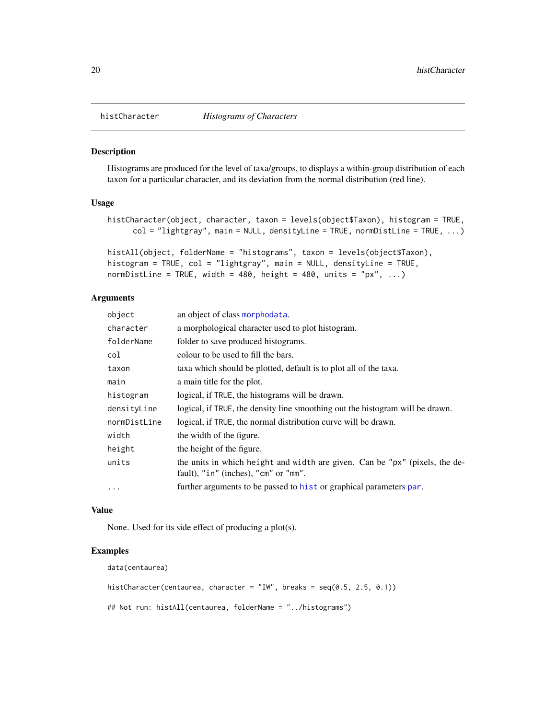<span id="page-19-0"></span>

Histograms are produced for the level of taxa/groups, to displays a within-group distribution of each taxon for a particular character, and its deviation from the normal distribution (red line).

#### Usage

```
histCharacter(object, character, taxon = levels(object$Taxon), histogram = TRUE,
     col = "lightgray", main = NULL, densityLine = TRUE, normDistLine = TRUE, ...)
```

```
histAll(object, folderName = "histograms", taxon = levels(object$Taxon),
histogram = TRUE, col = "lightgray", main = NULL, densityLine = TRUE,
normDistLine = TRUE, width = 480, height = 480, units = "px", \ldots)
```
## Arguments

| object       | an object of class morphodata.                                                                                      |
|--------------|---------------------------------------------------------------------------------------------------------------------|
| character    | a morphological character used to plot histogram.                                                                   |
| folderName   | folder to save produced histograms.                                                                                 |
| col          | colour to be used to fill the bars.                                                                                 |
| taxon        | taxa which should be plotted, default is to plot all of the taxa.                                                   |
| main         | a main title for the plot.                                                                                          |
| histogram    | logical, if TRUE, the histograms will be drawn.                                                                     |
| densityLine  | logical, if TRUE, the density line smoothing out the histogram will be drawn.                                       |
| normDistLine | logical, if TRUE, the normal distribution curve will be drawn.                                                      |
| width        | the width of the figure.                                                                                            |
| height       | the height of the figure.                                                                                           |
| units        | the units in which height and width are given. Can be "px" (pixels, the de-<br>fault), "in" (inches), "cm" or "mm". |
| $\ddots$     | further arguments to be passed to hist or graphical parameters par.                                                 |
|              |                                                                                                                     |

#### Value

None. Used for its side effect of producing a plot(s).

#### Examples

data(centaurea)

```
histCharacter(centaurea, character = "IW", breaks = seq(0.5, 2.5, 0.1))
## Not run: histAll(centaurea, folderName = "../histograms")
```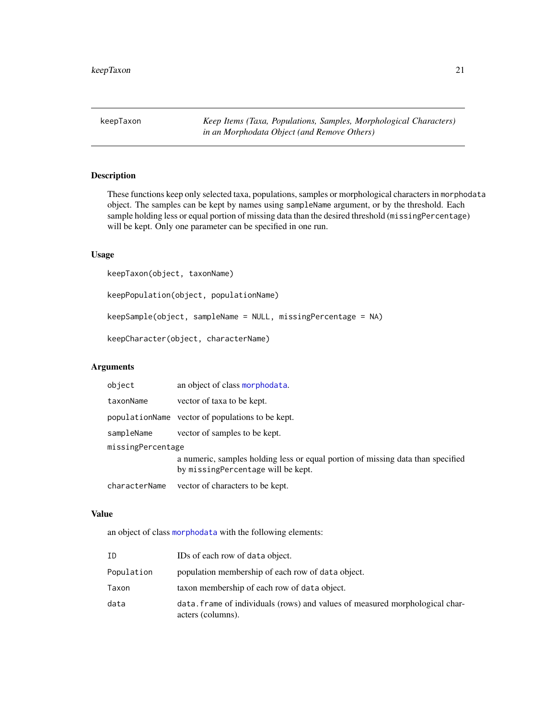<span id="page-20-0"></span>keepTaxon *Keep Items (Taxa, Populations, Samples, Morphological Characters) in an Morphodata Object (and Remove Others)*

# Description

These functions keep only selected taxa, populations, samples or morphological characters in morphodata object. The samples can be kept by names using sampleName argument, or by the threshold. Each sample holding less or equal portion of missing data than the desired threshold (missingPercentage) will be kept. Only one parameter can be specified in one run.

# Usage

keepTaxon(object, taxonName)

keepPopulation(object, populationName)

keepSample(object, sampleName = NULL, missingPercentage = NA)

keepCharacter(object, characterName)

#### Arguments

| object            | an object of class morphodata.                                                                                         |  |
|-------------------|------------------------------------------------------------------------------------------------------------------------|--|
| taxonName         | vector of taxa to be kept.                                                                                             |  |
|                   | populationName vector of populations to be kept.                                                                       |  |
| sampleName        | vector of samples to be kept.                                                                                          |  |
| missingPercentage |                                                                                                                        |  |
|                   | a numeric, samples holding less or equal portion of missing data than specified<br>by missing Percentage will be kept. |  |
| characterName     | vector of characters to be kept.                                                                                       |  |

## Value

an object of class [morphodata](#page-23-1) with the following elements:

| ΙD         | IDs of each row of data object.                                                                   |
|------------|---------------------------------------------------------------------------------------------------|
| Population | population membership of each row of data object.                                                 |
| Taxon      | taxon membership of each row of data object.                                                      |
| data       | data. frame of individuals (rows) and values of measured morphological char-<br>acters (columns). |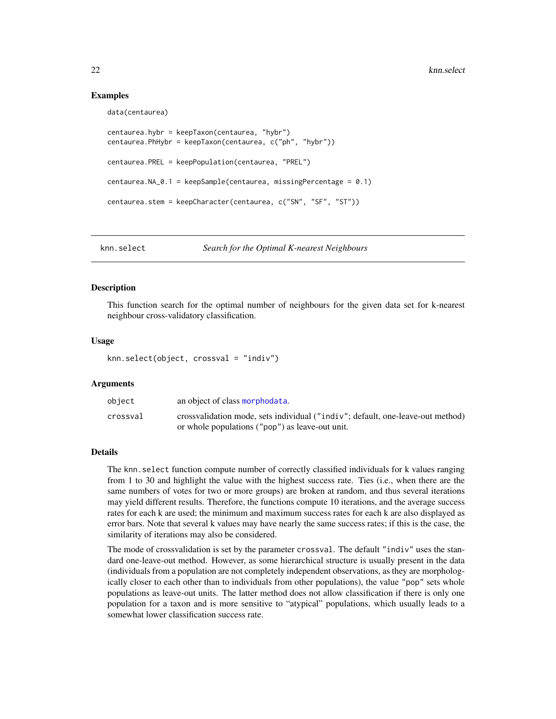## Examples

data(centaurea)

```
centaurea.hybr = keepTaxon(centaurea, "hybr")
centaurea.PhHybr = keepTaxon(centaurea, c("ph", "hybr"))
centaurea.PREL = keepPopulation(centaurea, "PREL")
centaurea.NA_0.1 = keepSample(centaurea, missingPercentage = 0.1)
centaurea.stem = keepCharacter(centaurea, c("SN", "SF", "ST"))
```
<span id="page-21-1"></span>knn.select *Search for the Optimal K-nearest Neighbours*

#### Description

This function search for the optimal number of neighbours for the given data set for k-nearest neighbour cross-validatory classification.

#### Usage

```
knn.select(object, crossval = "indiv")
```
# Arguments

| object   | an object of class morphodata.                                                 |
|----------|--------------------------------------------------------------------------------|
| crossval | crossvalidation mode, sets individual ("indiv"; default, one-leave-out method) |
|          | or whole populations ("pop") as leave-out unit.                                |

## Details

The knn.select function compute number of correctly classified individuals for k values ranging from 1 to 30 and highlight the value with the highest success rate. Ties (i.e., when there are the same numbers of votes for two or more groups) are broken at random, and thus several iterations may yield different results. Therefore, the functions compute 10 iterations, and the average success rates for each k are used; the minimum and maximum success rates for each k are also displayed as error bars. Note that several k values may have nearly the same success rates; if this is the case, the similarity of iterations may also be considered.

The mode of crossvalidation is set by the parameter crossval. The default "indiv" uses the standard one-leave-out method. However, as some hierarchical structure is usually present in the data (individuals from a population are not completely independent observations, as they are morphologically closer to each other than to individuals from other populations), the value "pop" sets whole populations as leave-out units. The latter method does not allow classification if there is only one population for a taxon and is more sensitive to "atypical" populations, which usually leads to a somewhat lower classification success rate.

<span id="page-21-0"></span>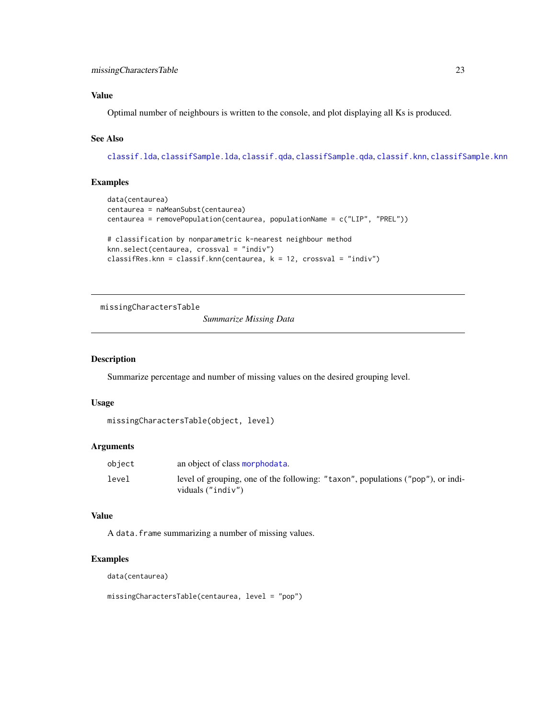## <span id="page-22-0"></span>Value

Optimal number of neighbours is written to the console, and plot displaying all Ks is produced.

## See Also

[classif.lda](#page-8-1), [classifSample.lda](#page-11-2), [classif.qda](#page-8-2), [classifSample.qda](#page-11-3), [classif.knn](#page-8-2), [classifSample.knn](#page-11-3)

# Examples

```
data(centaurea)
centaurea = naMeanSubst(centaurea)
centaurea = removePopulation(centaurea, populationName = c("LIP", "PREL"))
# classification by nonparametric k-nearest neighbour method
knn.select(centaurea, crossval = "indiv")
classifRes.knn = classif.knn(centaurea, k = 12, crossval = "indiv")
```
missingCharactersTable

*Summarize Missing Data*

# Description

Summarize percentage and number of missing values on the desired grouping level.

## Usage

```
missingCharactersTable(object, level)
```
# Arguments

| object | an object of class morphodata.                                                                       |
|--------|------------------------------------------------------------------------------------------------------|
| level  | level of grouping, one of the following: "taxon", populations ("pop"), or indi-<br>viduals ("indiv") |

# Value

A data.frame summarizing a number of missing values.

# Examples

data(centaurea)

missingCharactersTable(centaurea, level = "pop")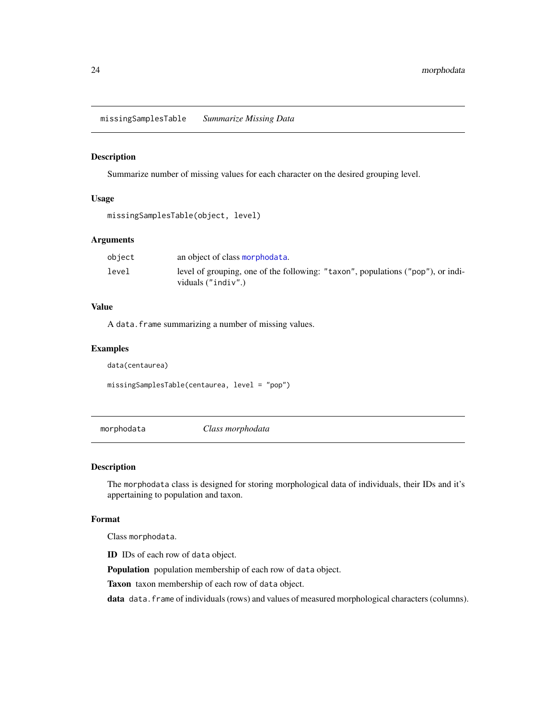<span id="page-23-0"></span>missingSamplesTable *Summarize Missing Data*

#### Description

Summarize number of missing values for each character on the desired grouping level.

## Usage

```
missingSamplesTable(object, level)
```
# Arguments

| object | an object of class morphodata.                                                                          |
|--------|---------------------------------------------------------------------------------------------------------|
| level  | level of grouping, one of the following: "taxon", populations ("pop"), or indi-<br>viduals $("indiv").$ |

#### Value

A data.frame summarizing a number of missing values.

## Examples

data(centaurea)

missingSamplesTable(centaurea, level = "pop")

<span id="page-23-1"></span>morphodata *Class morphodata*

## Description

The morphodata class is designed for storing morphological data of individuals, their IDs and it's appertaining to population and taxon.

## Format

Class morphodata.

ID IDs of each row of data object.

Population population membership of each row of data object.

Taxon taxon membership of each row of data object.

data data.frame of individuals (rows) and values of measured morphological characters (columns).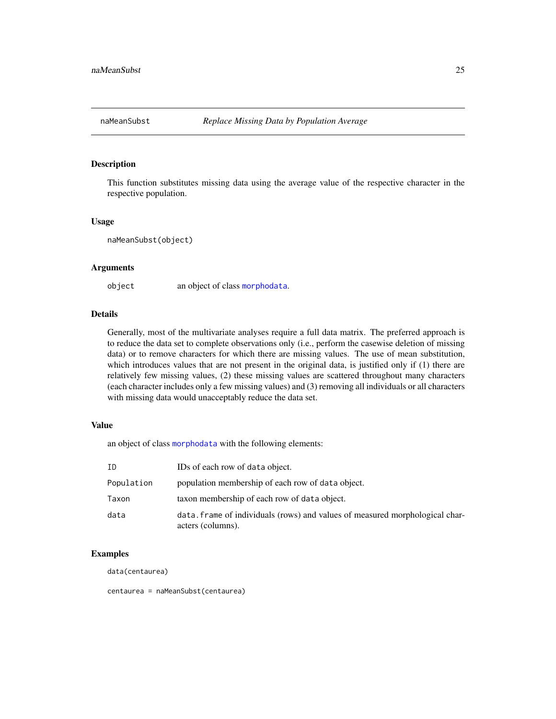<span id="page-24-0"></span>

This function substitutes missing data using the average value of the respective character in the respective population.

#### Usage

naMeanSubst(object)

#### **Arguments**

object an object of class [morphodata](#page-23-1).

## Details

Generally, most of the multivariate analyses require a full data matrix. The preferred approach is to reduce the data set to complete observations only (i.e., perform the casewise deletion of missing data) or to remove characters for which there are missing values. The use of mean substitution, which introduces values that are not present in the original data, is justified only if (1) there are relatively few missing values, (2) these missing values are scattered throughout many characters (each character includes only a few missing values) and (3) removing all individuals or all characters with missing data would unacceptably reduce the data set.

# Value

an object of class [morphodata](#page-23-1) with the following elements:

| ID         | IDs of each row of data object.                                                                   |
|------------|---------------------------------------------------------------------------------------------------|
| Population | population membership of each row of data object.                                                 |
| Taxon      | taxon membership of each row of data object.                                                      |
| data       | data. frame of individuals (rows) and values of measured morphological char-<br>acters (columns). |

## Examples

data(centaurea)

centaurea = naMeanSubst(centaurea)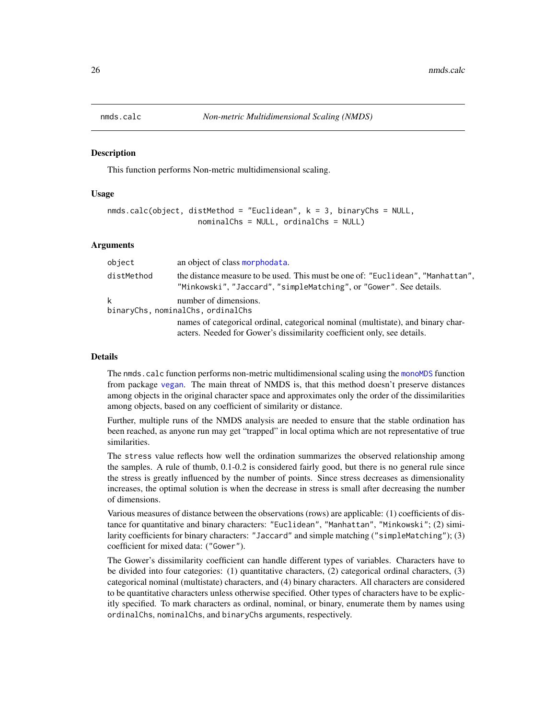<span id="page-25-1"></span><span id="page-25-0"></span>

This function performs Non-metric multidimensional scaling.

## Usage

```
nmds.calc(object, distMethod = "Euclidean", k = 3, binaryChs = NULL,
                   nominalChs = NULL, ordinalChs = NULL)
```
# **Arguments**

| object     | an object of class morphodata.                                                                                                                              |
|------------|-------------------------------------------------------------------------------------------------------------------------------------------------------------|
| distMethod | the distance measure to be used. This must be one of: "Euclidean", "Manhattan",<br>"Minkowski", "Jaccard", "simpleMatching", or "Gower". See details.       |
| k          | number of dimensions.<br>binaryChs, nominalChs, ordinalChs                                                                                                  |
|            | names of categorical ordinal, categorical nominal (multistate), and binary char-<br>acters. Needed for Gower's dissimilarity coefficient only, see details. |

#### Details

The nmds.calc function performs non-metric multidimensional scaling using the [monoMDS](#page-0-0) function from package [vegan](#page-0-0). The main threat of NMDS is, that this method doesn't preserve distances among objects in the original character space and approximates only the order of the dissimilarities among objects, based on any coefficient of similarity or distance.

Further, multiple runs of the NMDS analysis are needed to ensure that the stable ordination has been reached, as anyone run may get "trapped" in local optima which are not representative of true similarities.

The stress value reflects how well the ordination summarizes the observed relationship among the samples. A rule of thumb, 0.1-0.2 is considered fairly good, but there is no general rule since the stress is greatly influenced by the number of points. Since stress decreases as dimensionality increases, the optimal solution is when the decrease in stress is small after decreasing the number of dimensions.

Various measures of distance between the observations (rows) are applicable: (1) coefficients of distance for quantitative and binary characters: "Euclidean", "Manhattan", "Minkowski"; (2) similarity coefficients for binary characters: "Jaccard" and simple matching ("simpleMatching"); (3) coefficient for mixed data: ("Gower").

The Gower's dissimilarity coefficient can handle different types of variables. Characters have to be divided into four categories: (1) quantitative characters, (2) categorical ordinal characters, (3) categorical nominal (multistate) characters, and (4) binary characters. All characters are considered to be quantitative characters unless otherwise specified. Other types of characters have to be explicitly specified. To mark characters as ordinal, nominal, or binary, enumerate them by names using ordinalChs, nominalChs, and binaryChs arguments, respectively.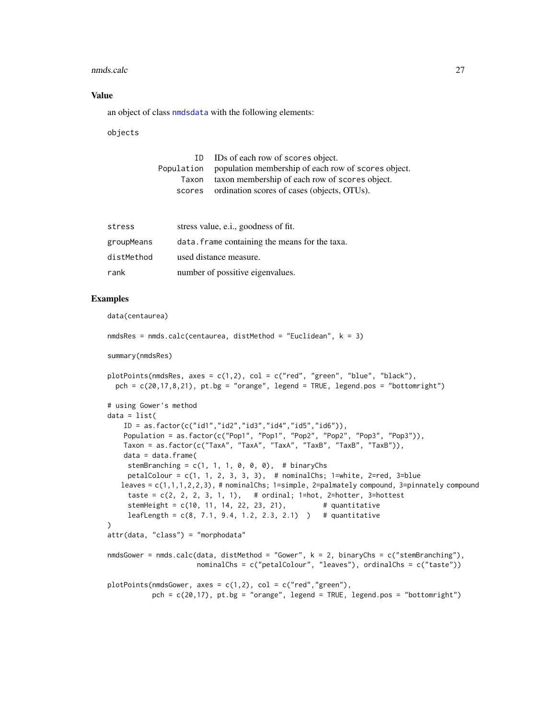#### <span id="page-26-0"></span>nmds.calc 27

## Value

an object of class [nmdsdata](#page-27-1) with the following elements:

objects

| ID.   | IDs of each row of scores object.                              |
|-------|----------------------------------------------------------------|
|       | Population population membership of each row of scores object. |
| Taxon | taxon membership of each row of scores object.                 |
|       | scores ordination scores of cases (objects, OTUs).             |
|       |                                                                |

| stress     | stress value, e.i., goodness of fit.           |
|------------|------------------------------------------------|
| groupMeans | data. Frame containing the means for the taxa. |
| distMethod | used distance measure.                         |
| rank       | number of possitive eigenvalues.               |

# Examples

data(centaurea)

```
nmdsRes = nmds.calc(centaurea, distMethod = "Euclidean", k = 3)
summary(nmdsRes)
plotPoints(nmdsRes, axes = c(1,2), col = c("red", "green", "blue", "black"),pch = c(20, 17, 8, 21), pt.bg = "orange", legend = TRUE, legend.pos = "bottomright")
# using Gower's method
data = list(ID = as.factor(c("id1","id2","id3","id4","id5","id6")),
   Population = as.factor(c("Pop1", "Pop1", "Pop2", "Pop2", "Pop3", "Pop3")),
   Taxon = as.factor(c("TaxA", "TaxA", "TaxA", "TaxB", "TaxB", "TaxB")),
   data = data.frame(stemBranching = c(1, 1, 1, 0, 0, 0), # binaryChs
    petalColour = c(1, 1, 2, 3, 3, 3), # nominalChs; 1=white, 2=red, 3=blue
   leaves = c(1,1,1,2,2,3), # nominalChs; 1=simple, 2=palmately compound, 3=pinnately compound
    taste = c(2, 2, 2, 3, 1, 1), # ordinal; 1=hot, 2=hotter, 3=hottest
     stemHeight = c(10, 11, 14, 22, 23, 21), # quantitative
     leafLength = c(8, 7.1, 9.4, 1.2, 2.3, 2.1) # quantitative
\lambdaattr(data, "class") = "morphodata"
nmdsGower = nmds.calc(data, distMethod = "Gower", k = 2, binaryChs = c("stemBranching"),
                     nominalChs = c("petalColour", "leaves"), ordinalChs = c("taste"))
plotPoints(nmdsGower, axes = c(1,2), col = c("red", "green"),pch = c(20,17), pt.bg = "orange", legend = TRUE, legend.pos = "bottomright")
```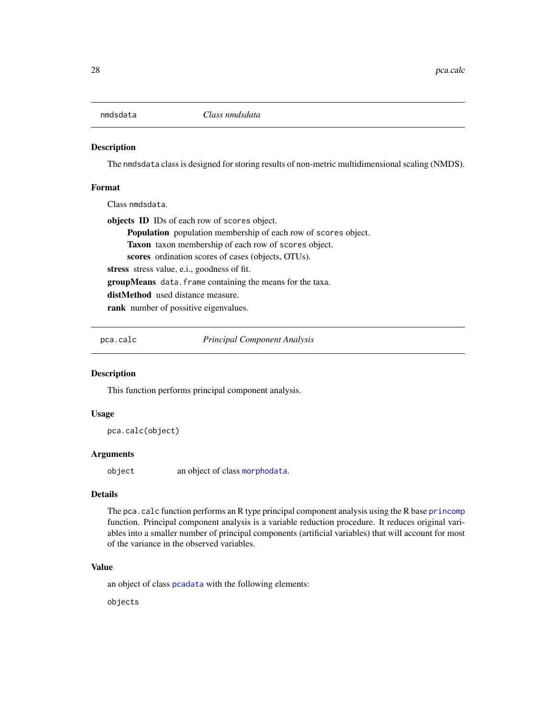<span id="page-27-1"></span><span id="page-27-0"></span>

The nmdsdata class is designed for storing results of non-metric multidimensional scaling (NMDS).

## Format

Class nmdsdata.

objects ID IDs of each row of scores object. Population population membership of each row of scores object. Taxon taxon membership of each row of scores object. scores ordination scores of cases (objects, OTUs). stress stress value, e.i., goodness of fit. groupMeans data.frame containing the means for the taxa.

distMethod used distance measure.

rank number of possitive eigenvalues.

<span id="page-27-2"></span>pca.calc *Principal Component Analysis*

# **Description**

This function performs principal component analysis.

#### Usage

pca.calc(object)

## Arguments

object an object of class [morphodata](#page-23-1).

## Details

The pca.calc function performs an R type principal component analysis using the R base [princomp](#page-0-0) function. Principal component analysis is a variable reduction procedure. It reduces original variables into a smaller number of principal components (artificial variables) that will account for most of the variance in the observed variables.

# Value

an object of class [pcadata](#page-28-1) with the following elements:

objects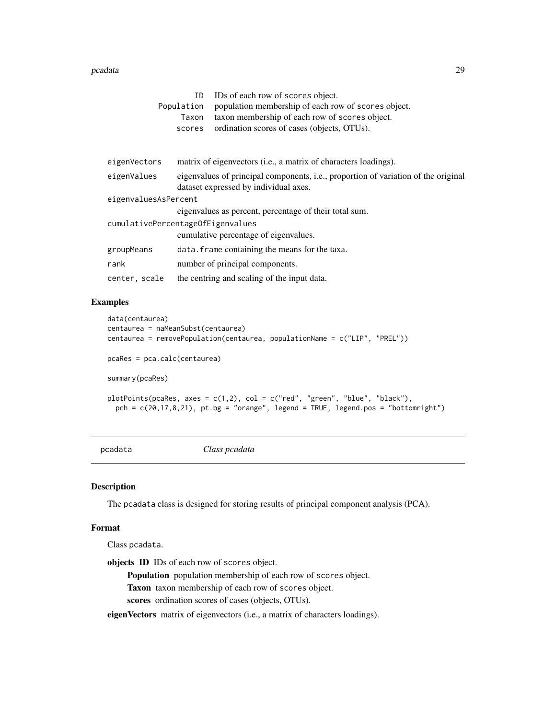#### <span id="page-28-0"></span>pcadata 29

|                                   | ΙD         | IDs of each row of scores object.                                                                                                   |
|-----------------------------------|------------|-------------------------------------------------------------------------------------------------------------------------------------|
|                                   | Population | population membership of each row of scores object.                                                                                 |
|                                   | Taxon      | taxon membership of each row of scores object.                                                                                      |
|                                   | scores     | ordination scores of cases (objects, OTUs).                                                                                         |
|                                   |            |                                                                                                                                     |
| eigenVectors                      |            | matrix of eigenvectors (i.e., a matrix of characters loadings).                                                                     |
| eigenValues                       |            | eigenvalues of principal components, <i>i.e.</i> , proportion of variation of the original<br>dataset expressed by individual axes. |
| eigenvaluesAsPercent              |            |                                                                                                                                     |
|                                   |            | eigenvalues as percent, percentage of their total sum.                                                                              |
| cumulativePercentageOfEigenvalues |            |                                                                                                                                     |
|                                   |            | cumulative percentage of eigenvalues.                                                                                               |
| groupMeans                        |            | data. frame containing the means for the taxa.                                                                                      |
| rank                              |            | number of principal components.                                                                                                     |
| center, scale                     |            | the centring and scaling of the input data.                                                                                         |

## Examples

```
data(centaurea)
centaurea = naMeanSubst(centaurea)
centaurea = removePopulation(centaurea, populationName = c("LIP", "PREL"))
pcaRes = pca.calc(centaurea)
summary(pcaRes)
plotPoints(pcaRes, axes = c(1,2), col = c("red", "green", "blue", "black"),
  pch = c(20,17,8,21), pt.bg = "orange", legend = TRUE, legend.pos = "bottomright")
```
<span id="page-28-1"></span>pcadata *Class pcadata*

## Description

The pcadata class is designed for storing results of principal component analysis (PCA).

#### Format

Class pcadata.

objects ID IDs of each row of scores object.

Population population membership of each row of scores object.

Taxon taxon membership of each row of scores object.

scores ordination scores of cases (objects, OTUs).

eigenVectors matrix of eigenvectors (i.e., a matrix of characters loadings).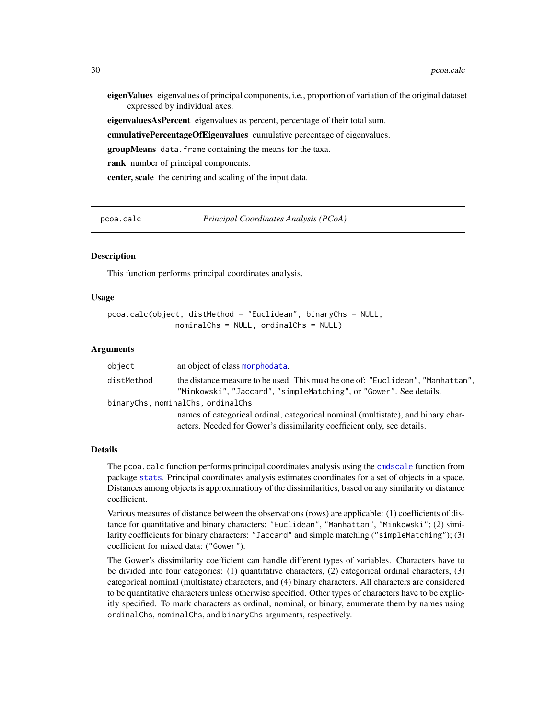<span id="page-29-0"></span>eigenValues eigenvalues of principal components, i.e., proportion of variation of the original dataset expressed by individual axes.

eigenvaluesAsPercent eigenvalues as percent, percentage of their total sum.

cumulativePercentageOfEigenvalues cumulative percentage of eigenvalues.

groupMeans data.frame containing the means for the taxa.

rank number of principal components.

center, scale the centring and scaling of the input data.

<span id="page-29-1"></span>pcoa.calc *Principal Coordinates Analysis (PCoA)*

#### **Description**

This function performs principal coordinates analysis.

## Usage

```
pcoa.calc(object, distMethod = "Euclidean", binaryChs = NULL,
               nominalChs = NULL, ordinalChs = NULL)
```
#### Arguments

| object     | an object of class morphodata.                                                                                                                              |
|------------|-------------------------------------------------------------------------------------------------------------------------------------------------------------|
| distMethod | the distance measure to be used. This must be one of: "Euclidean", "Manhattan",<br>"Minkowski", "Jaccard", "simpleMatching", or "Gower". See details.       |
|            | binaryChs, nominalChs, ordinalChs                                                                                                                           |
|            | names of categorical ordinal, categorical nominal (multistate), and binary char-<br>acters. Needed for Gower's dissimilarity coefficient only, see details. |

#### Details

The pcoa.calc function performs principal coordinates analysis using the [cmdscale](#page-0-0) function from package [stats](#page-0-0). Principal coordinates analysis estimates coordinates for a set of objects in a space. Distances among objects is approximationy of the dissimilarities, based on any similarity or distance coefficient.

Various measures of distance between the observations (rows) are applicable: (1) coefficients of distance for quantitative and binary characters: "Euclidean", "Manhattan", "Minkowski"; (2) similarity coefficients for binary characters: "Jaccard" and simple matching ("simpleMatching"); (3) coefficient for mixed data: ("Gower").

The Gower's dissimilarity coefficient can handle different types of variables. Characters have to be divided into four categories: (1) quantitative characters, (2) categorical ordinal characters, (3) categorical nominal (multistate) characters, and (4) binary characters. All characters are considered to be quantitative characters unless otherwise specified. Other types of characters have to be explicitly specified. To mark characters as ordinal, nominal, or binary, enumerate them by names using ordinalChs, nominalChs, and binaryChs arguments, respectively.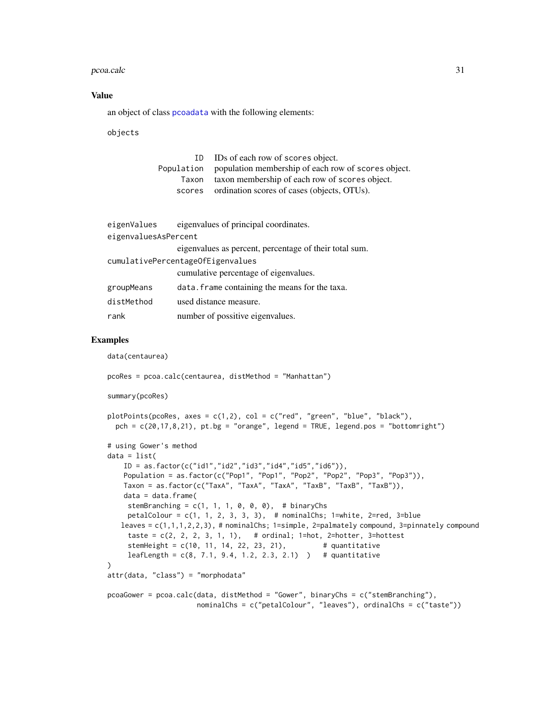#### <span id="page-30-0"></span>pcoa.calc 31

## Value

an object of class [pcoadata](#page-31-1) with the following elements:

objects

| TD.   | IDs of each row of scores object.                              |
|-------|----------------------------------------------------------------|
|       | Population population membership of each row of scores object. |
| Taxon | taxon membership of each row of scores object.                 |
|       | scores ordination scores of cases (objects, OTUs).             |

```
eigenValues eigenvalues of principal coordinates.
eigenvaluesAsPercent
                eigenvalues as percent, percentage of their total sum.
cumulativePercentageOfEigenvalues
                cumulative percentage of eigenvalues.
groupMeans data.frame containing the means for the taxa.
distMethod used distance measure.
rank number of possitive eigenvalues.
```

```
data(centaurea)
```

```
pcoRes = pcoa.calc(centaurea, distMethod = "Manhattan")
```

```
summary(pcoRes)
```

```
plotPoints(pcoRes, axes = c(1,2), col = c("red", "green", "blue", "black"),pch = c(20, 17, 8, 21), pt.bg = "orange", legend = TRUE, legend.pos = "bottomright")
# using Gower's method
data = list(
   ID = as.factor(c("id1", "id2", "id3", "id4", "id5", "id6")),
   Population = as.factor(c("Pop1", "Pop1", "Pop2", "Pop2", "Pop3", "Pop3")),
   Taxon = as.factor(c("TaxA", "TaxA", "TaxA", "TaxB", "TaxB", "TaxB")),
   data = data.frame(stemBranching = c(1, 1, 1, 0, 0, 0), # binaryChs
    petalColour = c(1, 1, 2, 3, 3, 3), # nominalChs; 1=white, 2=red, 3=blue
   leaves = c(1,1,1,2,2,3), # nominalChs; 1=simple, 2=palmately compound, 3=pinnately compound
     taste = c(2, 2, 2, 3, 1, 1), # ordinal; 1=hot, 2=hotter, 3=hottest
     stemHeight = c(10, 11, 14, 22, 23, 21), # quantitative
     leafLength = c(8, 7.1, 9.4, 1.2, 2.3, 2.1) # quantitative
)
attr(data, "class") = "morphodata"
pcoaGower = pcoa.calc(data, distMethod = "Gower", binaryChs = c("stemBranching"),
```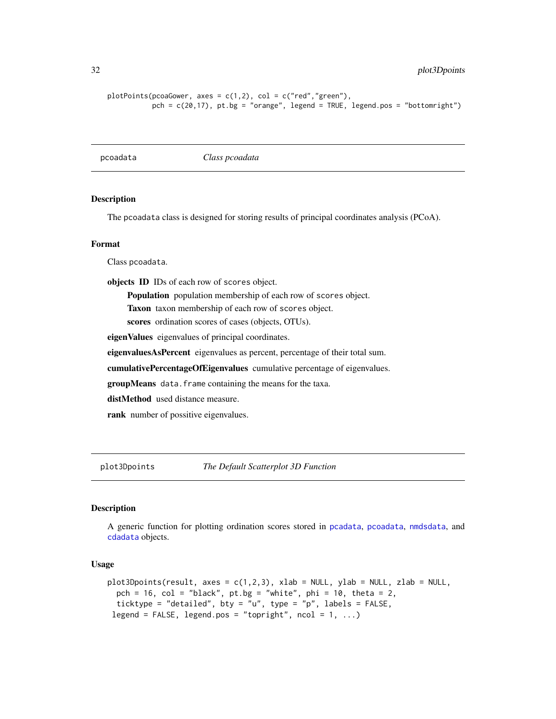```
plotPoints(pcoaGower, axes = c(1,2), col = c("red", "green"),pch = c(20,17), pt.bg = "orange", legend = TRUE, legend.pos = "bottomright")
```
<span id="page-31-1"></span>pcoadata *Class pcoadata*

## **Description**

The pcoadata class is designed for storing results of principal coordinates analysis (PCoA).

#### Format

Class pcoadata.

objects ID IDs of each row of scores object.

Population population membership of each row of scores object.

Taxon taxon membership of each row of scores object.

scores ordination scores of cases (objects, OTUs).

eigenValues eigenvalues of principal coordinates.

eigenvaluesAsPercent eigenvalues as percent, percentage of their total sum.

cumulativePercentageOfEigenvalues cumulative percentage of eigenvalues.

groupMeans data.frame containing the means for the taxa.

distMethod used distance measure.

rank number of possitive eigenvalues.

plot3Dpoints *The Default Scatterplot 3D Function*

# **Description**

A generic function for plotting ordination scores stored in [pcadata](#page-28-1), [pcoadata](#page-31-1), [nmdsdata](#page-27-1), and [cdadata](#page-6-1) objects.

# Usage

```
plot3Dpoints(result, axes = c(1,2,3), xlab = NULL, ylab = NULL, zlab = NULL,
 pch = 16, col = "black", pt.bg = "white", phi = 10, theta = 2,
 ticktype = "detailed", bty = "u", type = "p", labels = FALSE,
legend = FALSE, legend.pos = "topright", ncol = 1, ...)
```
<span id="page-31-0"></span>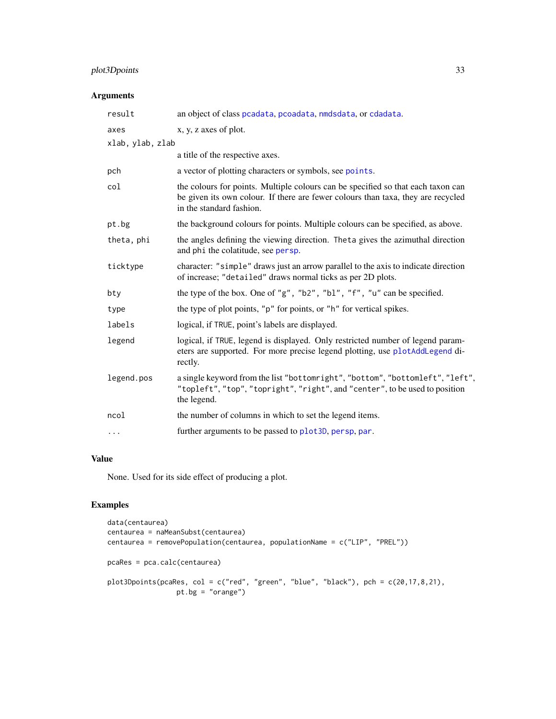# <span id="page-32-0"></span>plot3Dpoints 33

# Arguments

| result           | an object of class pcadata, pcoadata, nmdsdata, or cdadata.                                                                                                                                      |
|------------------|--------------------------------------------------------------------------------------------------------------------------------------------------------------------------------------------------|
| axes             | x, y, z axes of plot.                                                                                                                                                                            |
| xlab, ylab, zlab |                                                                                                                                                                                                  |
|                  | a title of the respective axes.                                                                                                                                                                  |
| pch              | a vector of plotting characters or symbols, see points.                                                                                                                                          |
| col              | the colours for points. Multiple colours can be specified so that each taxon can<br>be given its own colour. If there are fewer colours than taxa, they are recycled<br>in the standard fashion. |
| pt.bg            | the background colours for points. Multiple colours can be specified, as above.                                                                                                                  |
| theta, phi       | the angles defining the viewing direction. Theta gives the azimuthal direction<br>and phi the colatitude, see persp.                                                                             |
| ticktype         | character: "simple" draws just an arrow parallel to the axis to indicate direction<br>of increase; "detailed" draws normal ticks as per 2D plots.                                                |
| bty              | the type of the box. One of "g", "b2", "b1", "f", "u" can be specified.                                                                                                                          |
| type             | the type of plot points, "p" for points, or "h" for vertical spikes.                                                                                                                             |
| labels           | logical, if TRUE, point's labels are displayed.                                                                                                                                                  |
| legend           | logical, if TRUE, legend is displayed. Only restricted number of legend param-<br>eters are supported. For more precise legend plotting, use plotAddLegend di-<br>rectly.                        |
| legend.pos       | a single keyword from the list "bottomright", "bottom", "bottomleft", "left",<br>"topleft", "top", "topright", "right", and "center", to be used to position<br>the legend.                      |
| ncol             | the number of columns in which to set the legend items.                                                                                                                                          |
| .                | further arguments to be passed to plot 3D, persp, par.                                                                                                                                           |
|                  |                                                                                                                                                                                                  |

# Value

None. Used for its side effect of producing a plot.

```
data(centaurea)
centaurea = naMeanSubst(centaurea)
centaurea = removePopulation(centaurea, populationName = c("LIP", "PREL"))
pcaRes = pca.calc(centaurea)
plot3Dpoints(pcaRes, col = c("red", "green", "blue", "black"), pch = c(20,17,8,21),
                 pt.bg = "orange")
```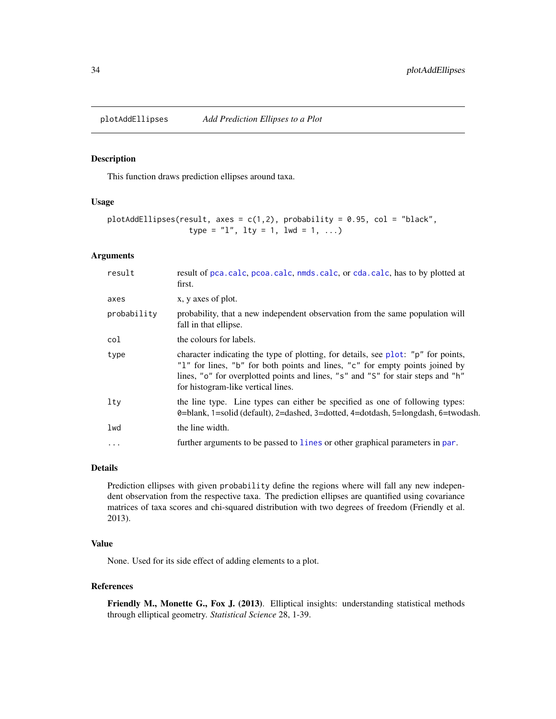<span id="page-33-0"></span>plotAddEllipses *Add Prediction Ellipses to a Plot*

# Description

This function draws prediction ellipses around taxa.

# Usage

```
plotAddEllipses(result, axes = c(1,2), probability = 0.95, col = "black",
                  type = "1", lty = 1, lwd = 1, ...)
```
## Arguments

| result      | result of pca.calc, pcoa.calc, nmds.calc, or cda.calc, has to by plotted at<br>first.                                                                                                                                                                                                       |
|-------------|---------------------------------------------------------------------------------------------------------------------------------------------------------------------------------------------------------------------------------------------------------------------------------------------|
| axes        | x, y axes of plot.                                                                                                                                                                                                                                                                          |
| probability | probability, that a new independent observation from the same population will<br>fall in that ellipse.                                                                                                                                                                                      |
| col         | the colours for labels.                                                                                                                                                                                                                                                                     |
| type        | character indicating the type of plotting, for details, see plot: "p" for points,<br>"1" for lines, "b" for both points and lines, "c" for empty points joined by<br>lines, "o" for overplotted points and lines, "s" and "S" for stair steps and "h"<br>for histogram-like vertical lines. |
| $1$ ty      | the line type. Line types can either be specified as one of following types:<br>0=blank, 1=solid (default), 2=dashed, 3=dotted, 4=dotdash, 5=longdash, 6=twodash.                                                                                                                           |
| lwd         | the line width.                                                                                                                                                                                                                                                                             |
| $\ddots$ .  | further arguments to be passed to lines or other graphical parameters in par.                                                                                                                                                                                                               |
|             |                                                                                                                                                                                                                                                                                             |

## Details

Prediction ellipses with given probability define the regions where will fall any new independent observation from the respective taxa. The prediction ellipses are quantified using covariance matrices of taxa scores and chi-squared distribution with two degrees of freedom (Friendly et al. 2013).

## Value

None. Used for its side effect of adding elements to a plot.

#### References

Friendly M., Monette G., Fox J. (2013). Elliptical insights: understanding statistical methods through elliptical geometry. *Statistical Science* 28, 1-39.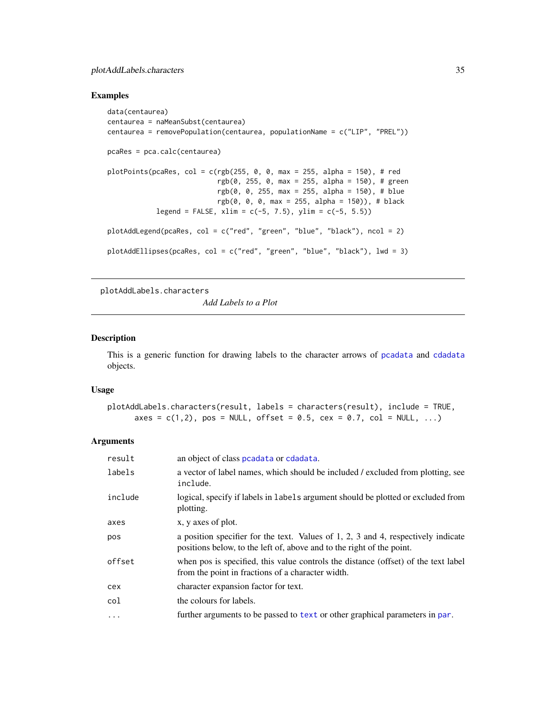# <span id="page-34-0"></span>plotAddLabels.characters 35

## Examples

```
data(centaurea)
centaurea = naMeanSubst(centaurea)
centaurea = removePopulation(centaurea, populationName = c("LIP", "PREL"))
pcaRes = pca.calc(centaurea)
plotPoints(pcaRes, col = c(rgb(255, 0, 0, max = 255, alpha = 150), # red
                           rgb(0, 255, 0, max = 255, alpha = 150), # green
                           rgb(0, 0, 255, max = 255, alpha = 150), # blue
                           rgb(0, 0, 0, max = 255, alpha = 150), # black
            legend = FALSE, xlim = c(-5, 7.5), ylim = c(-5, 5.5))
plotAddLegend(pcaRes, col = c("red", "green", "blue", "black"), ncol = 2)
plotAddEllipses(pcaRes, col = c("red", "green", "blue", "black"), lwd = 3)
```
<span id="page-34-1"></span>plotAddLabels.characters

*Add Labels to a Plot*

#### Description

This is a generic function for drawing labels to the character arrows of [pcadata](#page-28-1) and [cdadata](#page-6-1) objects.

# Usage

```
plotAddLabels.characters(result, labels = characters(result), include = TRUE,
     axes = c(1,2), pos = NULL, offset = 0.5, cex = 0.7, col = NULL, ...)
```

| result     | an object of class peadata or cdadata.                                                                                                                          |
|------------|-----------------------------------------------------------------------------------------------------------------------------------------------------------------|
| labels     | a vector of label names, which should be included / excluded from plotting, see<br>include.                                                                     |
| include    | logical, specify if labels in labels argument should be plotted or excluded from<br>plotting.                                                                   |
| axes       | x, y axes of plot.                                                                                                                                              |
| pos        | a position specifier for the text. Values of $1, 2, 3$ and $4$ , respectively indicate<br>positions below, to the left of, above and to the right of the point. |
| offset     | when pos is specified, this value controls the distance (offset) of the text label<br>from the point in fractions of a character width.                         |
| cex        | character expansion factor for text.                                                                                                                            |
| col        | the colours for labels.                                                                                                                                         |
| $\ddots$ . | further arguments to be passed to text or other graphical parameters in par.                                                                                    |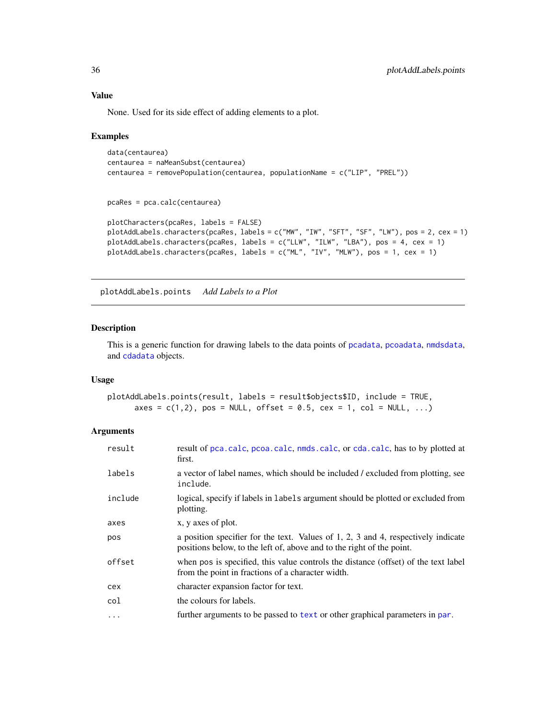# Value

None. Used for its side effect of adding elements to a plot.

## Examples

```
data(centaurea)
centaurea = naMeanSubst(centaurea)
centaurea = removePopulation(centaurea, populationName = c("LIP", "PREL"))
pcaRes = pca.calc(centaurea)
plotCharacters(pcaRes, labels = FALSE)
plotAddLabels.characters(pcaRes, labels = c("MW", "IW", "SFT", "SF", "LW"), pos = 2, cex = 1)
plotAddLabels.characters(pcaRes, labels = c("LLW", "ILW", "LBA"), pos = 4, cex = 1)
plotAddLabels.characters(pcaRes, labels = c("ML", "IV", "MLW"), pos = 1, cex = 1)
```
<span id="page-35-1"></span>plotAddLabels.points *Add Labels to a Plot*

### Description

This is a generic function for drawing labels to the data points of [pcadata](#page-28-1), [pcoadata](#page-31-1), [nmdsdata](#page-27-1), and [cdadata](#page-6-1) objects.

## Usage

```
plotAddLabels.points(result, labels = result$objects$ID, include = TRUE,
     axes = c(1,2), pos = NULL, offset = 0.5, cex = 1, col = NULL, ...)
```

| result  | result of pca.calc, pcoa.calc, nmds.calc, or cda.calc, has to by plotted at<br>first.                                                                           |
|---------|-----------------------------------------------------------------------------------------------------------------------------------------------------------------|
| labels  | a vector of label names, which should be included / excluded from plotting, see<br>include.                                                                     |
| include | logical, specify if labels in labels argument should be plotted or excluded from<br>plotting.                                                                   |
| axes    | x, y axes of plot.                                                                                                                                              |
| pos     | a position specifier for the text. Values of $1, 2, 3$ and $4$ , respectively indicate<br>positions below, to the left of, above and to the right of the point. |
| offset  | when pos is specified, this value controls the distance (offset) of the text label<br>from the point in fractions of a character width.                         |
| cex     | character expansion factor for text.                                                                                                                            |
| col     | the colours for labels.                                                                                                                                         |
| .       | further arguments to be passed to text or other graphical parameters in par.                                                                                    |

<span id="page-35-0"></span>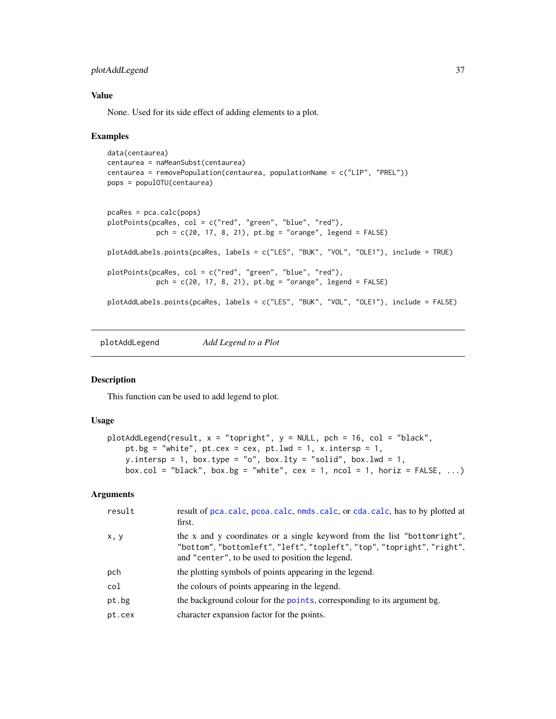# <span id="page-36-0"></span>plotAddLegend 37

# Value

None. Used for its side effect of adding elements to a plot.

### Examples

```
data(centaurea)
centaurea = naMeanSubst(centaurea)
centaurea = removePopulation(centaurea, populationName = c("LIP", "PREL"))
pops = populOTU(centaurea)
pcaRes = pca.calc(pops)
plotPoints(pcaRes, col = c("red", "green", "blue", "red"),
            pch = c(20, 17, 8, 21), pt.bg = "orange", legend = FALSE)plotAddLabels.points(pcaRes, labels = c("LES", "BUK", "VOL", "OLE1"), include = TRUE)
plotPoints(pcaRes, col = c("red", "green", "blue", "red"),
            pch = c(20, 17, 8, 21), pt.bg = "orange", legend = FALSE)plotAddLabels.points(pcaRes, labels = c("LES", "BUK", "VOL", "OLE1"), include = FALSE)
```
<span id="page-36-1"></span>plotAddLegend *Add Legend to a Plot*

# Description

This function can be used to add legend to plot.

## Usage

```
plotAddLegend(result, x = "topright", y = NULL, pch = 16, col = "black",
   pt.bg = "white", pt. cex = cex, pt. lwd = 1, x.intersp = 1,
   y.intersp = 1, box.type = "o", box.lty = "solid", box.lwd = 1,
   box.col = "black", box.bg = "white", cex = 1, ncol = 1, horiz = FALSE, ...)
```

| result | result of pca.calc, pcoa.calc, nmds.calc, or cda.calc, has to by plotted at<br>first.                                                                                                                  |
|--------|--------------------------------------------------------------------------------------------------------------------------------------------------------------------------------------------------------|
| x, y   | the x and y coordinates or a single keyword from the list "bottomright",<br>"bottom", "bottomleft", "left", "topleft", "top", "topright", "right",<br>and "center", to be used to position the legend. |
| pch    | the plotting symbols of points appearing in the legend.                                                                                                                                                |
| col    | the colours of points appearing in the legend.                                                                                                                                                         |
| pt.bg  | the background colour for the points, corresponding to its argument bg.                                                                                                                                |
| pt.cex | character expansion factor for the points.                                                                                                                                                             |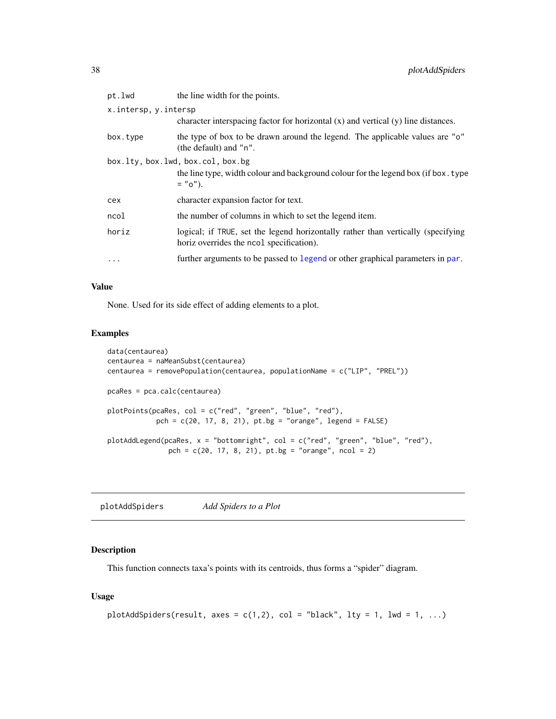<span id="page-37-0"></span>

| pt.lwd               | the line width for the points.                                                                                                       |
|----------------------|--------------------------------------------------------------------------------------------------------------------------------------|
| x.intersp, y.intersp |                                                                                                                                      |
|                      | character interspacing factor for horizontal $(x)$ and vertical $(y)$ line distances.                                                |
| box.type             | the type of box to be drawn around the legend. The applicable values are "o"<br>(the default) and "n".                               |
|                      | box.lty, box.lwd, box.col, box.bg<br>the line type, width colour and background colour for the legend box (if box. type<br>$= "o").$ |
| cex                  | character expansion factor for text.                                                                                                 |
| ncol                 | the number of columns in which to set the legend item.                                                                               |
| horiz                | logical; if TRUE, set the legend horizontally rather than vertically (specifying<br>horiz overrides the ncol specification).         |
| $\cdots$             | further arguments to be passed to legend or other graphical parameters in par.                                                       |

#### Value

None. Used for its side effect of adding elements to a plot.

## Examples

```
data(centaurea)
centaurea = naMeanSubst(centaurea)
centaurea = removePopulation(centaurea, populationName = c("LIP", "PREL"))
pcaRes = pca.calc(centaurea)
plotPoints(pcaRes, col = c("red", "green", "blue", "red"),
            pch = c(20, 17, 8, 21), pt.bg = "orange", legend = FALSE)
plotAddLegend(pcaRes, x = "bottomright", col = c("red", "green", "blue", "red"),
               pch = c(20, 17, 8, 21), pt.bg = "orange", ncol = 2)
```
plotAddSpiders *Add Spiders to a Plot*

# Description

This function connects taxa's points with its centroids, thus forms a "spider" diagram.

#### Usage

```
plotAddSpiders(result, axes = c(1,2), col = "black", lty = 1, lwd = 1, ...)
```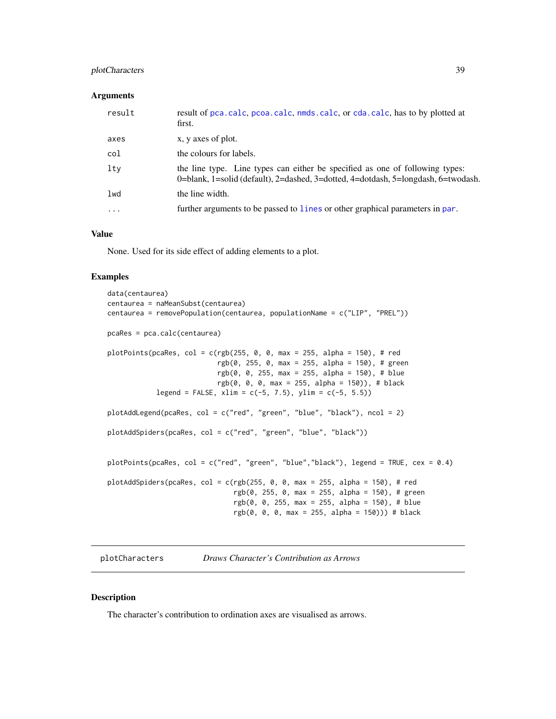# <span id="page-38-0"></span>plotCharacters 39

#### **Arguments**

| result   | result of pca.calc, pcoa.calc, nmds.calc, or cda.calc, has to by plotted at<br>first.                                                                             |
|----------|-------------------------------------------------------------------------------------------------------------------------------------------------------------------|
| axes     | x, y axes of plot.                                                                                                                                                |
| col      | the colours for labels.                                                                                                                                           |
| ltv      | the line type. Line types can either be specified as one of following types:<br>0=blank, 1=solid (default), 2=dashed, 3=dotted, 4=dotdash, 5=longdash, 6=twodash. |
| 1wd      | the line width.                                                                                                                                                   |
| $\cdots$ | further arguments to be passed to lines or other graphical parameters in par.                                                                                     |

## Value

None. Used for its side effect of adding elements to a plot.

#### Examples

```
data(centaurea)
centaurea = naMeanSubst(centaurea)
centaurea = removePopulation(centaurea, populationName = c("LIP", "PREL"))
pcaRes = pca.calc(centaurea)
plotPoints(pcaRes, col = c(rgb(255, 0, 0, max = 255, alpha = 150), # red
                          rgb(0, 255, 0, max = 255, alpha = 150), # greenrgb(0, 0, 255, max = 255, alpha = 150), # blue
                          rgb(0, 0, 0, max = 255, alpha = 150), # black
           legend = FALSE, xlim = c(-5, 7.5), ylim = c(-5, 5.5)plotAddLegend(pcaRes, col = c("red", "green", "blue", "black"), ncol = 2)
plotAddSpiders(pcaRes, col = c("red", "green", "blue", "black"))
plotPoints(pcaRes, col = c("red", "green", "blue","black"), legend = TRUE, cex = 0.4)
plotAddSpiders(pcaRes, col = c(rgb(255, 0, 0, max = 255, alpha = 150), # red
                               rgb(0, 255, 0, max = 255, alpha = 150), # greenrgb(0, 0, 255, max = 255, alpha = 150), # blue
                               rgb(0, 0, 0, max = 255, alpha = 150)) # black
```
plotCharacters *Draws Character's Contribution as Arrows*

### Description

The character's contribution to ordination axes are visualised as arrows.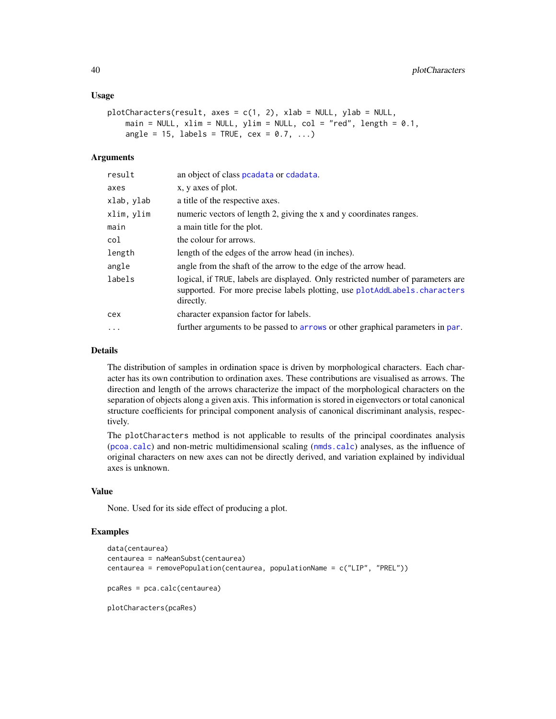```
plotCharcters(result, axes = c(1, 2), xlab = NULL, ylab = NULL,main = NULL, xlim = NULL, ylim = NULL, col = "red", length = 0.1,
   angle = 15, labels = TRUE, cex = 0.7, ...)
```
#### Arguments

| result     | an object of class peadata or cdadata.                                                                                                                                     |
|------------|----------------------------------------------------------------------------------------------------------------------------------------------------------------------------|
| axes       | x, y axes of plot.                                                                                                                                                         |
| xlab, ylab | a title of the respective axes.                                                                                                                                            |
| xlim, ylim | numeric vectors of length 2, giving the x and y coordinates ranges.                                                                                                        |
| main       | a main title for the plot.                                                                                                                                                 |
| col        | the colour for arrows.                                                                                                                                                     |
| length     | length of the edges of the arrow head (in inches).                                                                                                                         |
| angle      | angle from the shaft of the arrow to the edge of the arrow head.                                                                                                           |
| labels     | logical, if TRUE, labels are displayed. Only restricted number of parameters are<br>supported. For more precise labels plotting, use plotAddLabels.characters<br>directly. |
| cex        | character expansion factor for labels.                                                                                                                                     |
| $\cdots$   | further arguments to be passed to arrows or other graphical parameters in par.                                                                                             |

# Details

The distribution of samples in ordination space is driven by morphological characters. Each character has its own contribution to ordination axes. These contributions are visualised as arrows. The direction and length of the arrows characterize the impact of the morphological characters on the separation of objects along a given axis. This information is stored in eigenvectors or total canonical structure coefficients for principal component analysis of canonical discriminant analysis, respectively.

The plotCharacters method is not applicable to results of the principal coordinates analysis ([pcoa.calc](#page-29-1)) and non-metric multidimensional scaling ([nmds.calc](#page-25-1)) analyses, as the influence of original characters on new axes can not be directly derived, and variation explained by individual axes is unknown.

#### Value

None. Used for its side effect of producing a plot.

```
data(centaurea)
centaurea = naMeanSubst(centaurea)
centaurea = removePopulation(centaurea, populationName = c("LIP", "PREL"))
pcaRes = pca.calc(centaurea)
plotCharacters(pcaRes)
```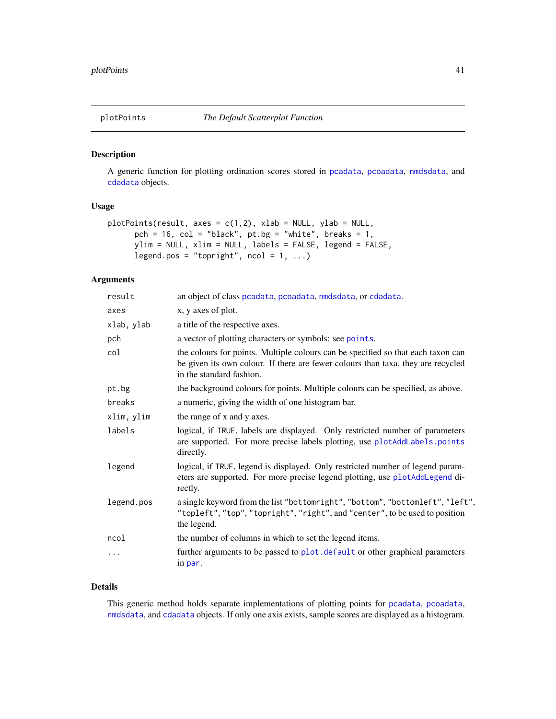<span id="page-40-0"></span>

A generic function for plotting ordination scores stored in [pcadata](#page-28-1), [pcoadata](#page-31-1), [nmdsdata](#page-27-1), and [cdadata](#page-6-1) objects.

#### Usage

```
plotPoints(result, axes = c(1,2), xlab = NULL, ylab = NULL,pch = 16, col = "black", pt.bg = "white", breaks = 1,
     ylim = NULL, xlim = NULL, labels = FALSE, legend = FALSE,
     legend.pos = "topright", ncol = 1, ...)
```
# Arguments

| result     | an object of class pcadata, pcoadata, nmdsdata, or cdadata.                                                                                                                                      |
|------------|--------------------------------------------------------------------------------------------------------------------------------------------------------------------------------------------------|
| axes       | x, y axes of plot.                                                                                                                                                                               |
| xlab, ylab | a title of the respective axes.                                                                                                                                                                  |
| pch        | a vector of plotting characters or symbols: see points.                                                                                                                                          |
| col        | the colours for points. Multiple colours can be specified so that each taxon can<br>be given its own colour. If there are fewer colours than taxa, they are recycled<br>in the standard fashion. |
| pt.bg      | the background colours for points. Multiple colours can be specified, as above.                                                                                                                  |
| breaks     | a numeric, giving the width of one histogram bar.                                                                                                                                                |
| xlim, ylim | the range of x and y axes.                                                                                                                                                                       |
| labels     | logical, if TRUE, labels are displayed. Only restricted number of parameters<br>are supported. For more precise labels plotting, use plotAddLabels.points<br>directly.                           |
| legend     | logical, if TRUE, legend is displayed. Only restricted number of legend param-<br>eters are supported. For more precise legend plotting, use plotAddLegend di-<br>rectly.                        |
| legend.pos | a single keyword from the list "bottomright", "bottom", "bottomleft", "left",<br>"topleft", "top", "topright", "right", and "center", to be used to position<br>the legend.                      |
| ncol       | the number of columns in which to set the legend items.                                                                                                                                          |
| .          | further arguments to be passed to plot. default or other graphical parameters<br>in par.                                                                                                         |

## Details

This generic method holds separate implementations of plotting points for [pcadata](#page-28-1), [pcoadata](#page-31-1), [nmdsdata](#page-27-1), and [cdadata](#page-6-1) objects. If only one axis exists, sample scores are displayed as a histogram.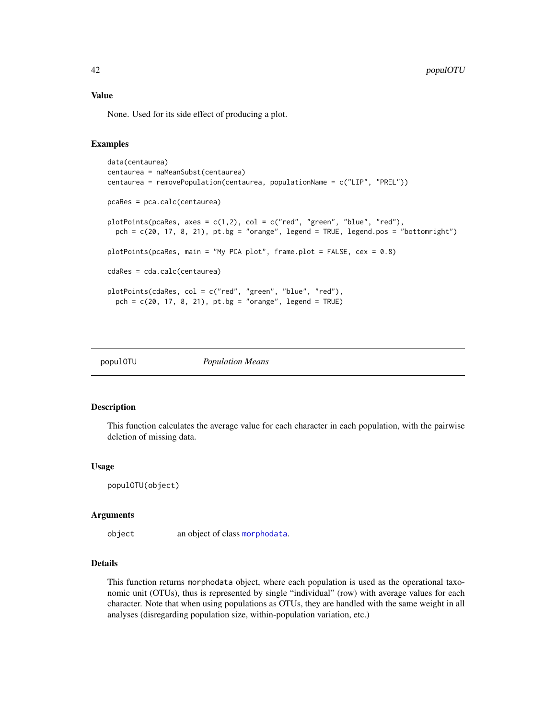None. Used for its side effect of producing a plot.

## Examples

```
data(centaurea)
centaurea = naMeanSubst(centaurea)
centaurea = removePopulation(centaurea, populationName = c("LIP", "PREL"))
pcaRes = pca.calc(centaurea)
plotPoints(pcaRes, axes = c(1,2), col = c("red", "green", "blue", "red"),pch = c(20, 17, 8, 21), pt.bg = "orange", legend = TRUE, legend.pos = "bottomright")
plotPoints(pcaRes, main = "My PCA plot", frame.plot = FALSE, cex = 0.8)
cdaRes = cda.calc(centaurea)
plotPoints(cdaRes, col = c("red", "green", "blue", "red"),
  pch = c(20, 17, 8, 21), pt.bg = "orange", legend = TRUE)
```

| popul0TU |
|----------|
|----------|

**Population Means** 

#### Description

This function calculates the average value for each character in each population, with the pairwise deletion of missing data.

#### Usage

```
populOTU(object)
```
#### Arguments

object an object of class [morphodata](#page-23-1).

# Details

This function returns morphodata object, where each population is used as the operational taxonomic unit (OTUs), thus is represented by single "individual" (row) with average values for each character. Note that when using populations as OTUs, they are handled with the same weight in all analyses (disregarding population size, within-population variation, etc.)

<span id="page-41-0"></span>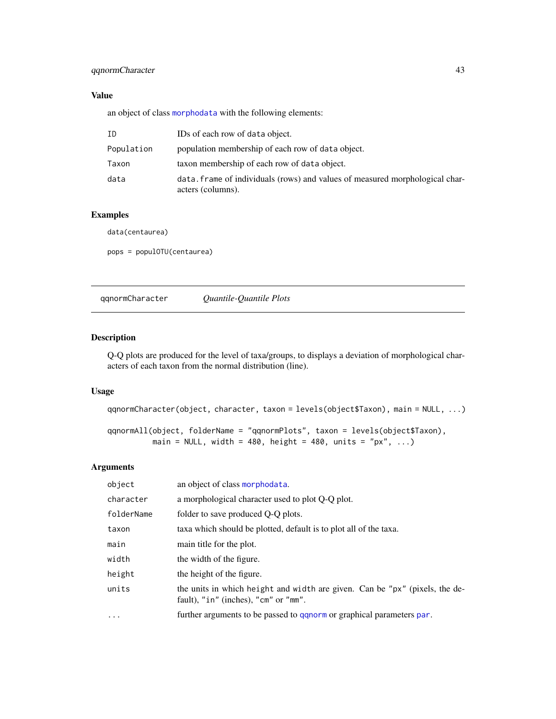# <span id="page-42-0"></span>qqnormCharacter 43

# Value

an object of class [morphodata](#page-23-1) with the following elements:

| ID         | IDs of each row of data object.                                                                   |
|------------|---------------------------------------------------------------------------------------------------|
| Population | population membership of each row of data object.                                                 |
| Taxon      | taxon membership of each row of data object.                                                      |
| data       | data, frame of individuals (rows) and values of measured morphological char-<br>acters (columns). |

# Examples

data(centaurea)

pops = populOTU(centaurea)

qqnormCharacter *Quantile-Quantile Plots*

#### Description

Q-Q plots are produced for the level of taxa/groups, to displays a deviation of morphological characters of each taxon from the normal distribution (line).

## Usage

```
qqnormCharacter(object, character, taxon = levels(object$Taxon), main = NULL, ...)
```
qqnormAll(object, folderName = "qqnormPlots", taxon = levels(object\$Taxon), main = NULL, width = 480, height = 480, units = "px", ...)

| object     | an object of class morphodata.                                                                                      |
|------------|---------------------------------------------------------------------------------------------------------------------|
| character  | a morphological character used to plot Q-Q plot.                                                                    |
| folderName | folder to save produced Q-Q plots.                                                                                  |
| taxon      | taxa which should be plotted, default is to plot all of the taxa.                                                   |
| main       | main title for the plot.                                                                                            |
| width      | the width of the figure.                                                                                            |
| height     | the height of the figure.                                                                                           |
| units      | the units in which height and width are given. Can be "px" (pixels, the de-<br>fault), "in" (inches), "cm" or "mm". |
| $\cdots$   | further arguments to be passed to ganorm or graphical parameters par.                                               |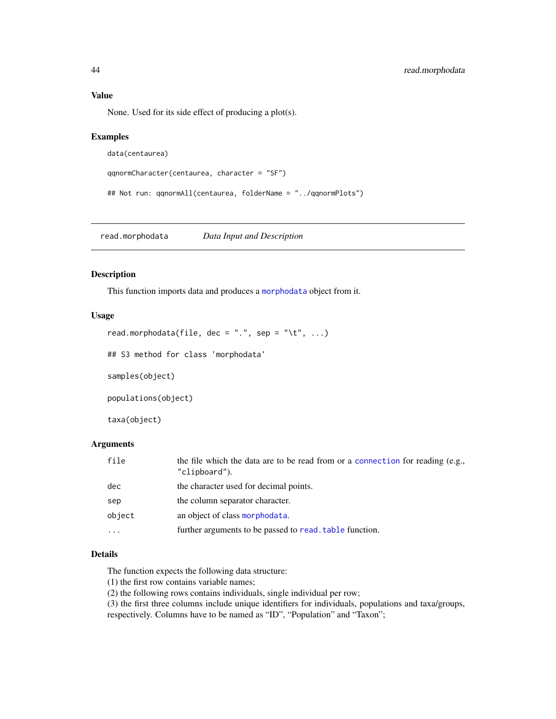# <span id="page-43-0"></span>Value

None. Used for its side effect of producing a plot(s).

## Examples

```
data(centaurea)
```

```
qqnormCharacter(centaurea, character = "SF")
```
## Not run: qqnormAll(centaurea, folderName = "../qqnormPlots")

read.morphodata *Data Input and Description*

# Description

This function imports data and produces a [morphodata](#page-23-1) object from it.

# Usage

```
read.morphodata(file, dec = ".", sep = "\t", ...)
```
## S3 method for class 'morphodata'

samples(object)

populations(object)

taxa(object)

# Arguments

| file   | the file which the data are to be read from or a connection for reading (e.g.,<br>"clipboard"). |
|--------|-------------------------------------------------------------------------------------------------|
| dec    | the character used for decimal points.                                                          |
| sep    | the column separator character.                                                                 |
| object | an object of class morphodata.                                                                  |
| .      | further arguments to be passed to read, table function.                                         |

# Details

The function expects the following data structure:

(1) the first row contains variable names;

(2) the following rows contains individuals, single individual per row;

(3) the first three columns include unique identifiers for individuals, populations and taxa/groups,

respectively. Columns have to be named as "ID", "Population" and "Taxon";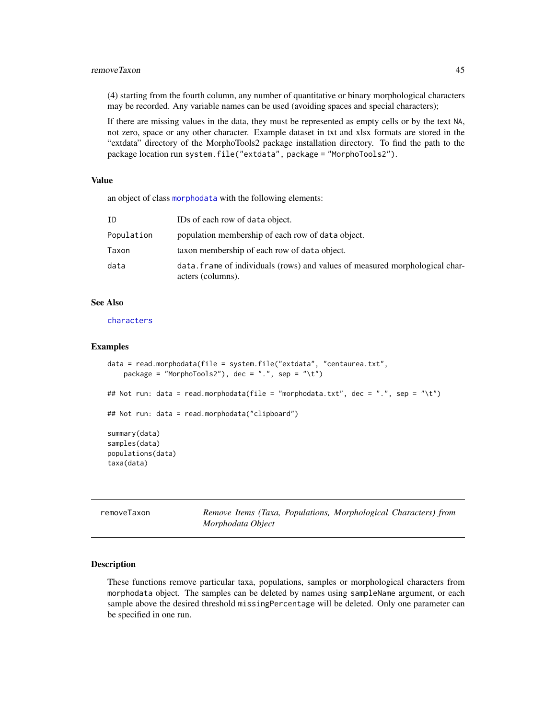#### <span id="page-44-0"></span>removeTaxon 45

(4) starting from the fourth column, any number of quantitative or binary morphological characters may be recorded. Any variable names can be used (avoiding spaces and special characters);

If there are missing values in the data, they must be represented as empty cells or by the text NA, not zero, space or any other character. Example dataset in txt and xlsx formats are stored in the "extdata" directory of the MorphoTools2 package installation directory. To find the path to the package location run system.file("extdata", package = "MorphoTools2").

## Value

an object of class [morphodata](#page-23-1) with the following elements:

| ΙD         | IDs of each row of data object.                                                                   |
|------------|---------------------------------------------------------------------------------------------------|
| Population | population membership of each row of data object.                                                 |
| Taxon      | taxon membership of each row of data object.                                                      |
| data       | data. frame of individuals (rows) and values of measured morphological char-<br>acters (columns). |

## See Also

[characters](#page-7-1)

#### Examples

```
data = read.morphodata(file = system.file("extdata", "centaurea.txt",
   package = "MorphoTools2"), dec = ".", sep = "\t")
## Not run: data = read.morphodata(file = "morphodata.txt", dec = ".", sep = "\t")
## Not run: data = read.morphodata("clipboard")
summary(data)
samples(data)
populations(data)
taxa(data)
```

| removeTaxon |                   |  | Remove Items (Taxa, Populations, Morphological Characters) from |  |
|-------------|-------------------|--|-----------------------------------------------------------------|--|
|             | Morphodata Object |  |                                                                 |  |

# **Description**

These functions remove particular taxa, populations, samples or morphological characters from morphodata object. The samples can be deleted by names using sampleName argument, or each sample above the desired threshold missingPercentage will be deleted. Only one parameter can be specified in one run.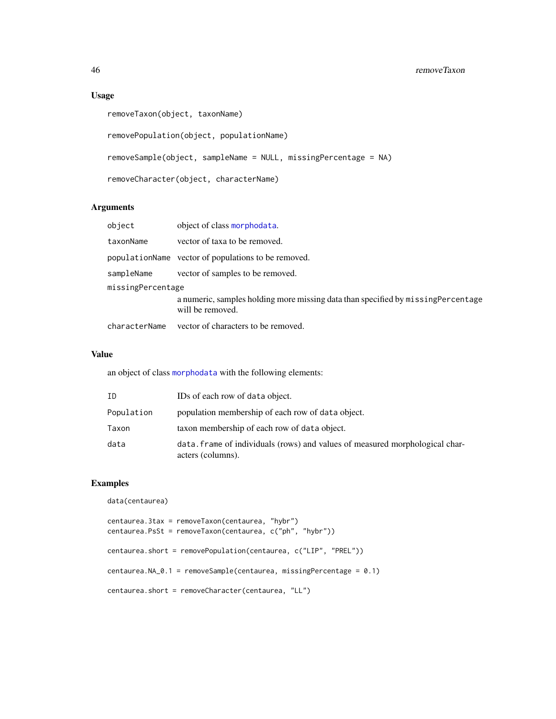## 46 removeTaxon

# Usage

```
removeTaxon(object, taxonName)
removePopulation(object, populationName)
removeSample(object, sampleName = NULL, missingPercentage = NA)
removeCharacter(object, characterName)
```
# Arguments

| object            | object of class morphodata.                                                                          |
|-------------------|------------------------------------------------------------------------------------------------------|
| taxonName         | vector of taxa to be removed.                                                                        |
|                   | populationName vector of populations to be removed.                                                  |
| sampleName        | vector of samples to be removed.                                                                     |
| missingPercentage |                                                                                                      |
|                   | a numeric, samples holding more missing data than specified by missingPercentage<br>will be removed. |
| characterName     | vector of characters to be removed.                                                                  |

## Value

an object of class [morphodata](#page-23-1) with the following elements:

| ΙD         | IDs of each row of data object.                                                                   |
|------------|---------------------------------------------------------------------------------------------------|
| Population | population membership of each row of data object.                                                 |
| Taxon      | taxon membership of each row of data object.                                                      |
| data       | data. frame of individuals (rows) and values of measured morphological char-<br>acters (columns). |

```
data(centaurea)
```

```
centaurea.3tax = removeTaxon(centaurea, "hybr")
centaurea.PsSt = removeTaxon(centaurea, c("ph", "hybr"))
centaurea.short = removePopulation(centaurea, c("LIP", "PREL"))
centaurea.NA_0.1 = removeSample(centaurea, missingPercentage = 0.1)
centaurea.short = removeCharacter(centaurea, "LL")
```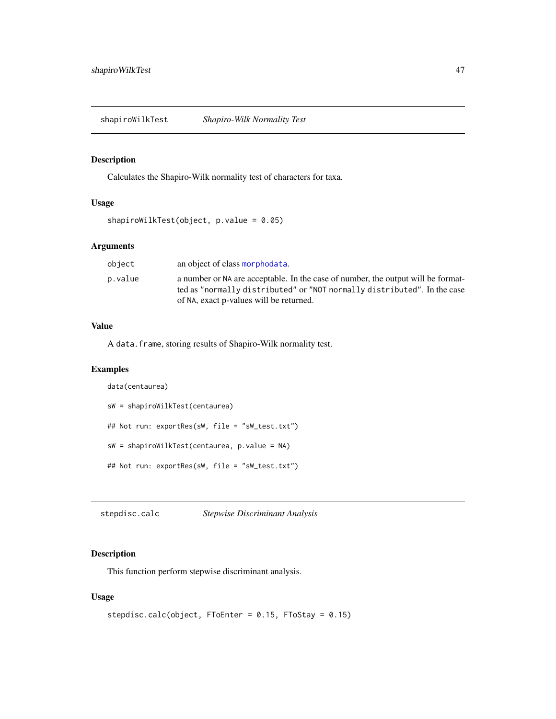<span id="page-46-0"></span>Calculates the Shapiro-Wilk normality test of characters for taxa.

# Usage

```
shapiroWilkTest(object, p.value = 0.05)
```
# Arguments

| object  | an object of class morphodata.                                                                                                                                                                          |
|---------|---------------------------------------------------------------------------------------------------------------------------------------------------------------------------------------------------------|
| p.value | a number or NA are acceptable. In the case of number, the output will be format-<br>ted as "normally distributed" or "NOT normally distributed". In the case<br>of NA, exact p-values will be returned. |

## Value

A data.frame, storing results of Shapiro-Wilk normality test.

# Examples

```
data(centaurea)
sW = shapiroWilkTest(centaurea)
## Not run: exportRes(sW, file = "sW_test.txt")
sW = shapiroWilkTest(centaurea, p.value = NA)
## Not run: exportRes(sW, file = "sW_test.txt")
```
stepdisc.calc *Stepwise Discriminant Analysis*

# Description

This function perform stepwise discriminant analysis.

## Usage

```
stepdisc.calc(object, FToEnter = 0.15, FToStay = 0.15)
```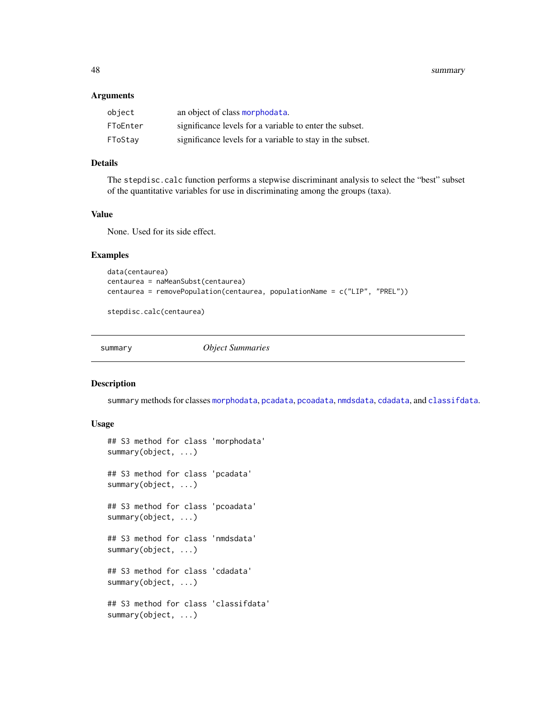<span id="page-47-0"></span>48 summary

#### Arguments

| object   | an object of class morphodata.                            |
|----------|-----------------------------------------------------------|
| FToEnter | significance levels for a variable to enter the subset.   |
| FToStay  | significance levels for a variable to stay in the subset. |

## Details

The stepdisc.calc function performs a stepwise discriminant analysis to select the "best" subset of the quantitative variables for use in discriminating among the groups (taxa).

## Value

None. Used for its side effect.

# Examples

```
data(centaurea)
centaurea = naMeanSubst(centaurea)
centaurea = removePopulation(centaurea, populationName = c("LIP", "PREL"))
```
stepdisc.calc(centaurea)

summary *Object Summaries*

#### Description

summary methods for classes [morphodata](#page-23-1), [pcadata](#page-28-1), [pcoadata](#page-31-1), [nmdsdata](#page-27-1), [cdadata](#page-6-1), and [classifdata](#page-11-1).

## Usage

```
## S3 method for class 'morphodata'
summary(object, ...)
## S3 method for class 'pcadata'
summary(object, ...)
## S3 method for class 'pcoadata'
summary(object, ...)
## S3 method for class 'nmdsdata'
summary(object, ...)
## S3 method for class 'cdadata'
summary(object, ...)
## S3 method for class 'classifdata'
summary(object, ...)
```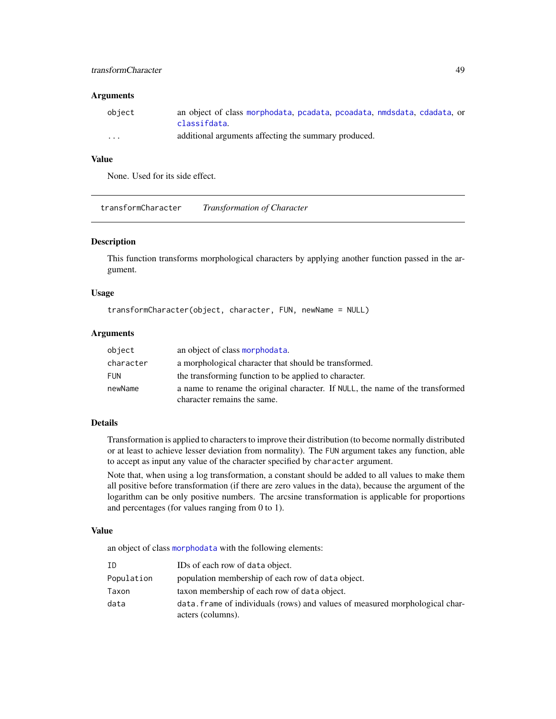# <span id="page-48-0"></span>transformCharacter 49

## Arguments

| object   | an object of class morphodata, peadata, peoadata, nedsdata, cdadata, or |
|----------|-------------------------------------------------------------------------|
|          | classifdata.                                                            |
| $\cdots$ | additional arguments affecting the summary produced.                    |

# Value

None. Used for its side effect.

transformCharacter *Transformation of Character*

#### Description

This function transforms morphological characters by applying another function passed in the argument.

#### Usage

```
transformCharacter(object, character, FUN, newName = NULL)
```
#### Arguments

| object     | an object of class morphodata.                                                                               |
|------------|--------------------------------------------------------------------------------------------------------------|
| character  | a morphological character that should be transformed.                                                        |
| <b>FUN</b> | the transforming function to be applied to character.                                                        |
| newName    | a name to rename the original character. If NULL, the name of the transformed<br>character remains the same. |

# Details

Transformation is applied to characters to improve their distribution (to become normally distributed or at least to achieve lesser deviation from normality). The FUN argument takes any function, able to accept as input any value of the character specified by character argument.

Note that, when using a log transformation, a constant should be added to all values to make them all positive before transformation (if there are zero values in the data), because the argument of the logarithm can be only positive numbers. The arcsine transformation is applicable for proportions and percentages (for values ranging from 0 to 1).

### Value

an object of class [morphodata](#page-23-1) with the following elements:

| ΙD         | IDs of each row of data object.                                              |
|------------|------------------------------------------------------------------------------|
| Population | population membership of each row of data object.                            |
| Taxon      | taxon membership of each row of data object.                                 |
| data       | data. frame of individuals (rows) and values of measured morphological char- |
|            | acters (columns).                                                            |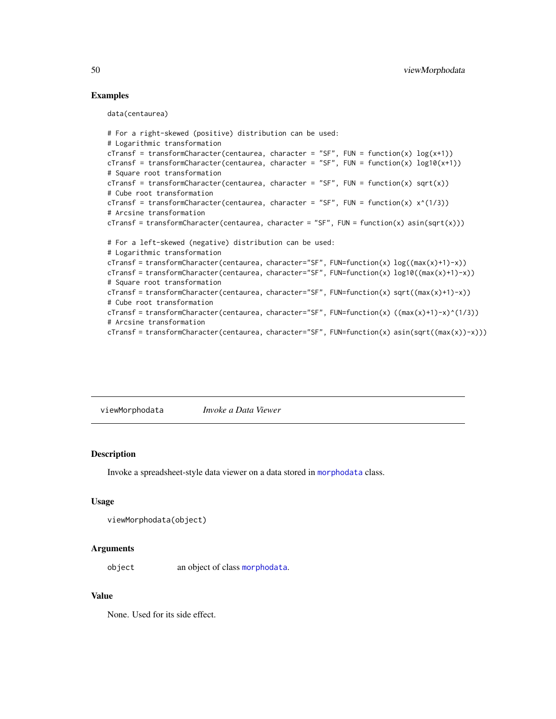## Examples

data(centaurea)

```
# For a right-skewed (positive) distribution can be used:
# Logarithmic transformation
cTransf = transformCharacter(centaurea, character = "SF", FUN = function(x) log(x+1))
cTransf = transformCharacter(centaurea, character = "SF", FUN = function(x) log10(x+1))
# Square root transformation
cTransf = transformCharacter(centaurea, character = "SF", FUN = function(x) sqrt(x))
# Cube root transformation
cTransf = transformCharacter(centaurea, character = "SF", FUN = function(x) x^*(1/3))
# Arcsine transformation
cTransf = transformCharacter(centaurea, character = "SF", FUN = function(x) asin(sqrt(x)))
# For a left-skewed (negative) distribution can be used:
# Logarithmic transformation
cTransf = transformCharacter(centaurea, character="SF", FUN=function(x) log((max(x)+1)-x))
cTransf = transformCharacter(centaurea, character="SF", FUN=function(x) log10((max(x)+1)-x))
# Square root transformation
cTransf = transformCharacter(centaurea, character="SF", FUN=function(x) sqrt((max(x)+1)-x))
# Cube root transformation
cTransf = transformCharacter(centaurea, character="SF", FUN=function(x) ((max(x)+1)-x)^(1/3))
# Arcsine transformation
cTransf = transformCharacter(centaurea, character="SF", FUN=function(x) asin(sqrt((max(x))-x)))
```
viewMorphodata *Invoke a Data Viewer*

#### **Description**

Invoke a spreadsheet-style data viewer on a data stored in [morphodata](#page-23-1) class.

#### Usage

```
viewMorphodata(object)
```
#### Arguments

object an object of class [morphodata](#page-23-1).

#### Value

None. Used for its side effect.

<span id="page-49-0"></span>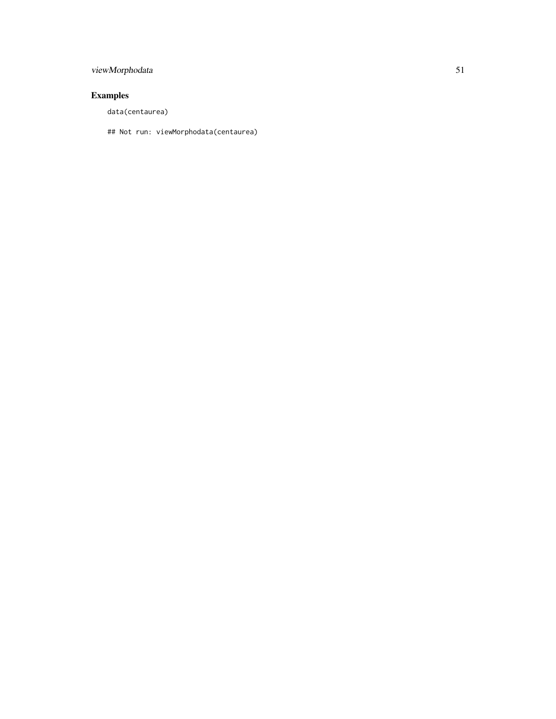# viewMorphodata 51

# Examples

data(centaurea)

## Not run: viewMorphodata(centaurea)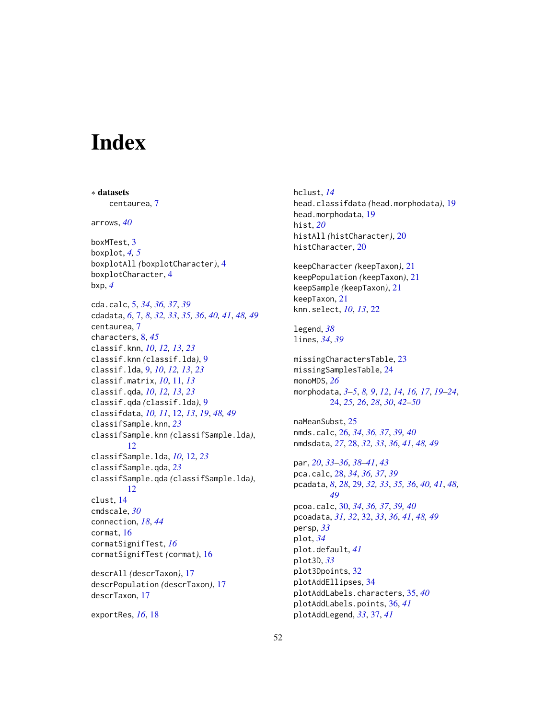# <span id="page-51-0"></span>**Index**

∗ datasets centaurea, [7](#page-6-0) arrows, *[40](#page-39-0)* boxMTest, [3](#page-2-0) boxplot, *[4,](#page-3-0) [5](#page-4-0)* boxplotAll *(*boxplotCharacter*)*, [4](#page-3-0) boxplotCharacter, [4](#page-3-0) bxp, *[4](#page-3-0)* cda.calc, [5,](#page-4-0) *[34](#page-33-0)*, *[36,](#page-35-0) [37](#page-36-0)*, *[39](#page-38-0)* cdadata, *[6](#page-5-0)*, [7,](#page-6-0) *[8](#page-7-0)*, *[32,](#page-31-0) [33](#page-32-0)*, *[35,](#page-34-0) [36](#page-35-0)*, *[40,](#page-39-0) [41](#page-40-0)*, *[48,](#page-47-0) [49](#page-48-0)* centaurea, [7](#page-6-0) characters, [8,](#page-7-0) *[45](#page-44-0)* classif.knn, *[10](#page-9-0)*, *[12,](#page-11-0) [13](#page-12-0)*, *[23](#page-22-0)* classif.knn *(*classif.lda*)*, [9](#page-8-0) classif.lda, [9,](#page-8-0) *[10](#page-9-0)*, *[12,](#page-11-0) [13](#page-12-0)*, *[23](#page-22-0)* classif.matrix, *[10](#page-9-0)*, [11,](#page-10-0) *[13](#page-12-0)* classif.qda, *[10](#page-9-0)*, *[12,](#page-11-0) [13](#page-12-0)*, *[23](#page-22-0)* classif.qda *(*classif.lda*)*, [9](#page-8-0) classifdata, *[10,](#page-9-0) [11](#page-10-0)*, [12,](#page-11-0) *[13](#page-12-0)*, *[19](#page-18-0)*, *[48,](#page-47-0) [49](#page-48-0)* classifSample.knn, *[23](#page-22-0)* classifSample.knn *(*classifSample.lda*)*, [12](#page-11-0) classifSample.lda, *[10](#page-9-0)*, [12,](#page-11-0) *[23](#page-22-0)* classifSample.qda, *[23](#page-22-0)* classifSample.qda *(*classifSample.lda*)*, [12](#page-11-0) clust, [14](#page-13-0) cmdscale, *[30](#page-29-0)* connection, *[18](#page-17-0)*, *[44](#page-43-0)* cormat, [16](#page-15-0) cormatSignifTest, *[16](#page-15-0)* cormatSignifTest *(*cormat*)*, [16](#page-15-0) descrAll *(*descrTaxon*)*, [17](#page-16-0) descrPopulation *(*descrTaxon*)*, [17](#page-16-0) descrTaxon, [17](#page-16-0) exportRes, *[16](#page-15-0)*, [18](#page-17-0)

hclust, *[14](#page-13-0)* head.classifdata *(*head.morphodata*)*, [19](#page-18-0) head.morphodata, [19](#page-18-0) hist, *[20](#page-19-0)* histAll *(*histCharacter*)*, [20](#page-19-0) histCharacter, [20](#page-19-0) keepCharacter *(*keepTaxon*)*, [21](#page-20-0) keepPopulation *(*keepTaxon*)*, [21](#page-20-0) keepSample *(*keepTaxon*)*, [21](#page-20-0) keepTaxon, [21](#page-20-0) knn.select, *[10](#page-9-0)*, *[13](#page-12-0)*, [22](#page-21-0) legend, *[38](#page-37-0)* lines, *[34](#page-33-0)*, *[39](#page-38-0)* missingCharactersTable, [23](#page-22-0) missingSamplesTable, [24](#page-23-0) monoMDS, *[26](#page-25-0)* morphodata, *[3](#page-2-0)[–5](#page-4-0)*, *[8,](#page-7-0) [9](#page-8-0)*, *[12](#page-11-0)*, *[14](#page-13-0)*, *[16,](#page-15-0) [17](#page-16-0)*, *[19](#page-18-0)[–24](#page-23-0)*, [24,](#page-23-0) *[25,](#page-24-0) [26](#page-25-0)*, *[28](#page-27-0)*, *[30](#page-29-0)*, *[42](#page-41-0)[–50](#page-49-0)* naMeanSubst, [25](#page-24-0) nmds.calc, [26,](#page-25-0) *[34](#page-33-0)*, *[36,](#page-35-0) [37](#page-36-0)*, *[39,](#page-38-0) [40](#page-39-0)* nmdsdata, *[27](#page-26-0)*, [28,](#page-27-0) *[32,](#page-31-0) [33](#page-32-0)*, *[36](#page-35-0)*, *[41](#page-40-0)*, *[48,](#page-47-0) [49](#page-48-0)* par, *[20](#page-19-0)*, *[33](#page-32-0)[–36](#page-35-0)*, *[38](#page-37-0)[–41](#page-40-0)*, *[43](#page-42-0)* pca.calc, [28,](#page-27-0) *[34](#page-33-0)*, *[36,](#page-35-0) [37](#page-36-0)*, *[39](#page-38-0)* pcadata, *[8](#page-7-0)*, *[28](#page-27-0)*, [29,](#page-28-0) *[32,](#page-31-0) [33](#page-32-0)*, *[35,](#page-34-0) [36](#page-35-0)*, *[40,](#page-39-0) [41](#page-40-0)*, *[48,](#page-47-0) [49](#page-48-0)* pcoa.calc, [30,](#page-29-0) *[34](#page-33-0)*, *[36,](#page-35-0) [37](#page-36-0)*, *[39,](#page-38-0) [40](#page-39-0)* pcoadata, *[31,](#page-30-0) [32](#page-31-0)*, [32,](#page-31-0) *[33](#page-32-0)*, *[36](#page-35-0)*, *[41](#page-40-0)*, *[48,](#page-47-0) [49](#page-48-0)* persp, *[33](#page-32-0)* plot, *[34](#page-33-0)* plot.default, *[41](#page-40-0)* plot3D, *[33](#page-32-0)* plot3Dpoints, [32](#page-31-0) plotAddEllipses, [34](#page-33-0) plotAddLabels.characters, [35,](#page-34-0) *[40](#page-39-0)* plotAddLabels.points, [36,](#page-35-0) *[41](#page-40-0)* plotAddLegend, *[33](#page-32-0)*, [37,](#page-36-0) *[41](#page-40-0)*